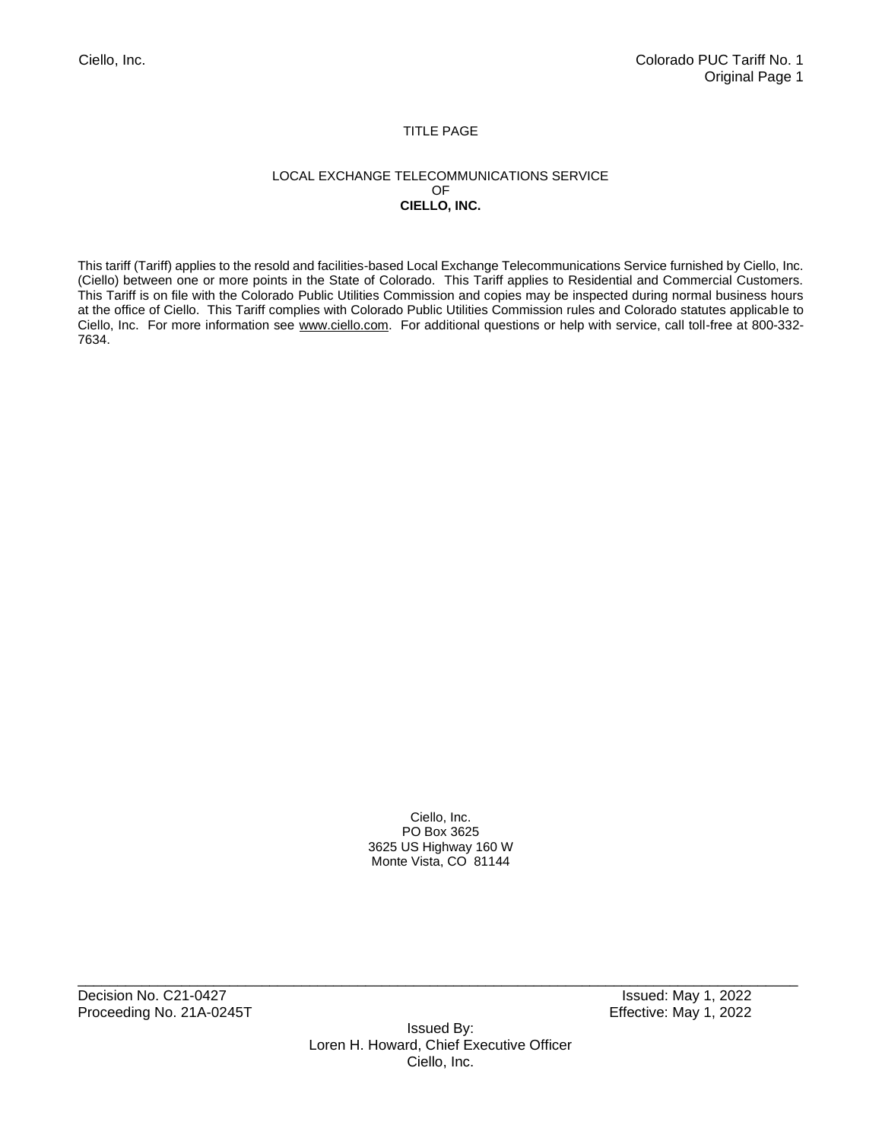# TITLE PAGE

## LOCAL EXCHANGE TELECOMMUNICATIONS SERVICE OF **CIELLO, INC.**

This tariff (Tariff) applies to the resold and facilities-based Local Exchange Telecommunications Service furnished by Ciello, Inc. (Ciello) between one or more points in the State of Colorado. This Tariff applies to Residential and Commercial Customers. This Tariff is on file with the Colorado Public Utilities Commission and copies may be inspected during normal business hours at the office of Ciello. This Tariff complies with Colorado Public Utilities Commission rules and Colorado statutes applicable to Ciello, Inc. For more information see [www.ciello.com.](http://www.ciello.com/) For additional questions or help with service, call toll-free at 800-332- 7634.

> Ciello, Inc. PO Box 3625 3625 US Highway 160 W Monte Vista, CO 81144

Decision No. C21-0427<br>Proceeding No. 21A-0245T **Intervalse Setup Act of Activate** Setup Act of Act of Act of Act of Act of Act of Act o<br>Effective: May 1, 2022 Proceeding No. 21A-0245T

Issued By: Loren H. Howard, Chief Executive Officer Ciello, Inc.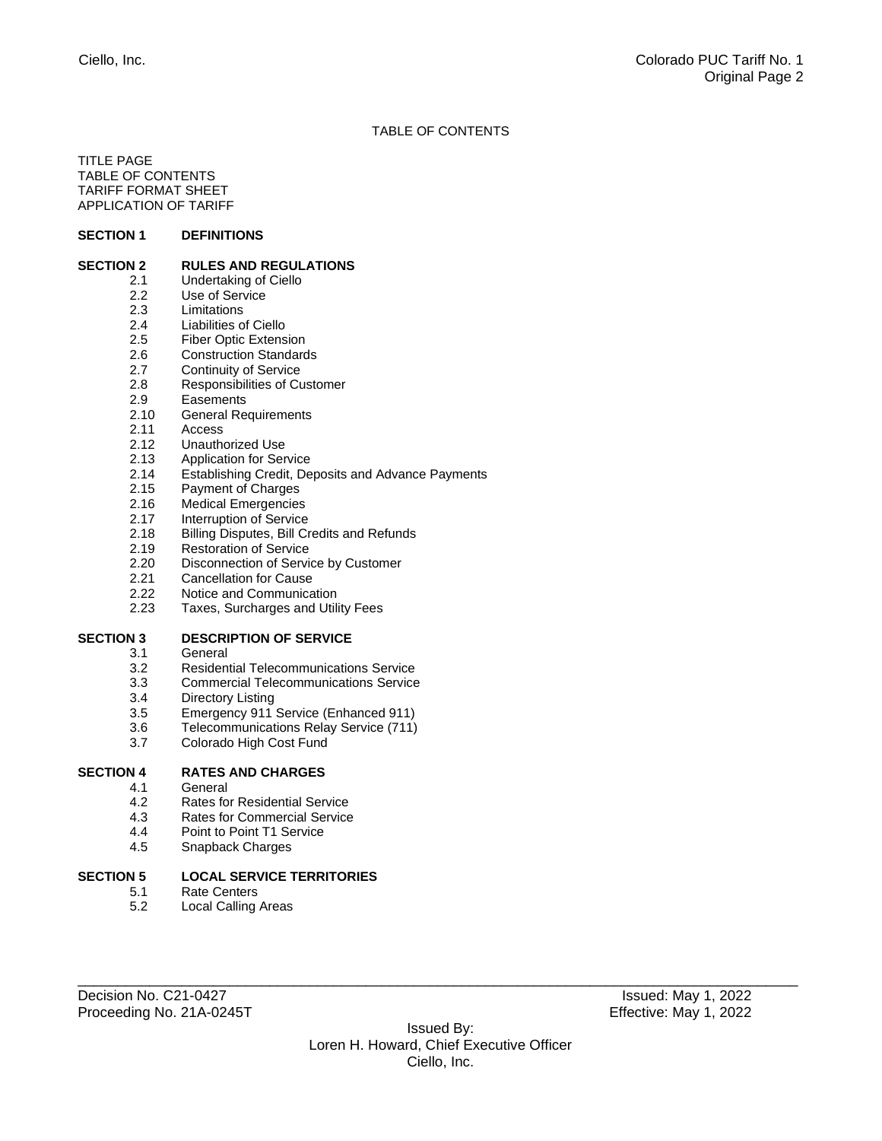## TABLE OF CONTENTS

TITLE PAGE TABLE OF CONTENTS TARIFF FORMAT SHEET APPLICATION OF TARIFF

#### **SECTION 1 DEFINITIONS**

#### **SECTION 2 RULES AND REGULATIONS**

- 2.1 Undertaking of Ciello<br>2.2 Use of Service
- 2.2 Use of Service<br>2.3 Limitations
- 2.3 Limitations<br>2.4 Liabilities o
- 2.4 Liabilities of Ciello<br>2.5 Fiber Optic Extens
- 2.5 Fiber Optic Extension<br>2.6 Construction Standard
- **Construction Standards**
- 2.7 Continuity of Service
- 2.8 Responsibilities of Customer
- 2.9 Easements
- 2.10 General Requirements
- 2.11 Access
- 2.12 Unauthorized Use
- 2.13 Application for Service<br>2.14 Establishing Credit, De
- Establishing Credit, Deposits and Advance Payments
- 2.15 Payment of Charges
- 2.16 Medical Emergencies
- 2.17 Interruption of Service
- 2.18 Billing Disputes, Bill Credits and Refunds<br>2.19 Restoration of Service
- 2.19 Restoration of Service<br>2.20 Disconnection of Servic
- 2.20 Disconnection of Service by Customer<br>2.21 Cancellation for Cause
- 2.21 Cancellation for Cause<br>2.22 Notice and Communica
- Notice and Communication
- 2.23 Taxes, Surcharges and Utility Fees

## **SECTION 3 DESCRIPTION OF SERVICE**

- 3.1 General<br>3.2 Residen
- 3.2 Residential Telecommunications Service
- 3.3 Commercial Telecommunications Service<br>3.4 Directory Listing
- 3.4 Directory Listing
- 3.5 Emergency 911 Service (Enhanced 911)
- Telecommunications Relay Service (711)
- 3.7 Colorado High Cost Fund

# **SECTION 4 RATES AND CHARGES**

- 4.1 General
- 4.2 Rates for Residential Service
- 4.3 Rates for Commercial Service
- 4.4 Point to Point T1 Service
- 4.5 Snapback Charges

## **SECTION 5 LOCAL SERVICE TERRITORIES**

- 5.1 Rate Centers
- 5.2 Local Calling Areas

Decision No. C21-0427 Issued: May 1, 2022 Proceeding No. 21A-0245T **Effective: May 1, 2022** 

Issued By: Loren H. Howard, Chief Executive Officer Ciello, Inc.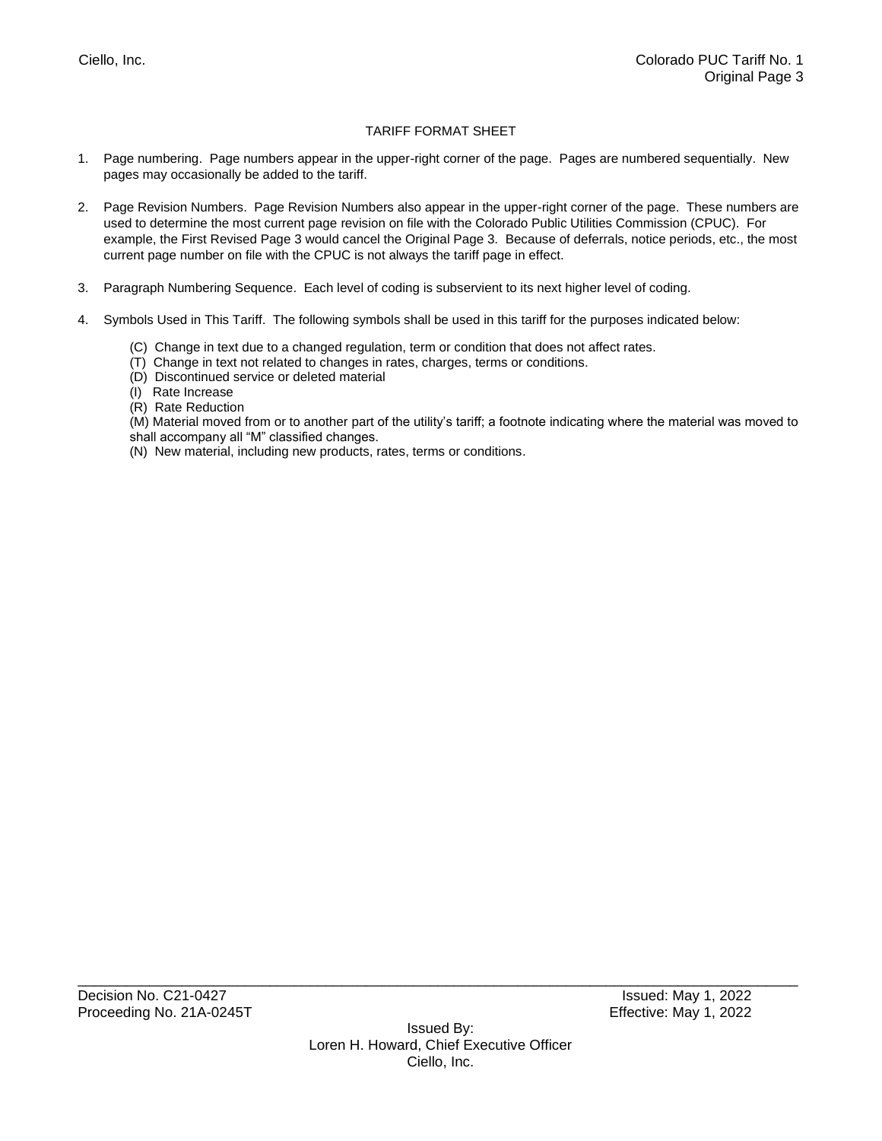## TARIFF FORMAT SHEET

- 1. Page numbering. Page numbers appear in the upper-right corner of the page. Pages are numbered sequentially. New pages may occasionally be added to the tariff.
- 2. Page Revision Numbers. Page Revision Numbers also appear in the upper-right corner of the page. These numbers are used to determine the most current page revision on file with the Colorado Public Utilities Commission (CPUC). For example, the First Revised Page 3 would cancel the Original Page 3. Because of deferrals, notice periods, etc., the most current page number on file with the CPUC is not always the tariff page in effect.
- 3. Paragraph Numbering Sequence. Each level of coding is subservient to its next higher level of coding.
- 4. Symbols Used in This Tariff. The following symbols shall be used in this tariff for the purposes indicated below:
	- (C) Change in text due to a changed regulation, term or condition that does not affect rates.
	- (T) Change in text not related to changes in rates, charges, terms or conditions.
	- (D) Discontinued service or deleted material
	- (I) Rate Increase
	- (R) Rate Reduction

(M) Material moved from or to another part of the utility's tariff; a footnote indicating where the material was moved to shall accompany all "M" classified changes.

(N) New material, including new products, rates, terms or conditions.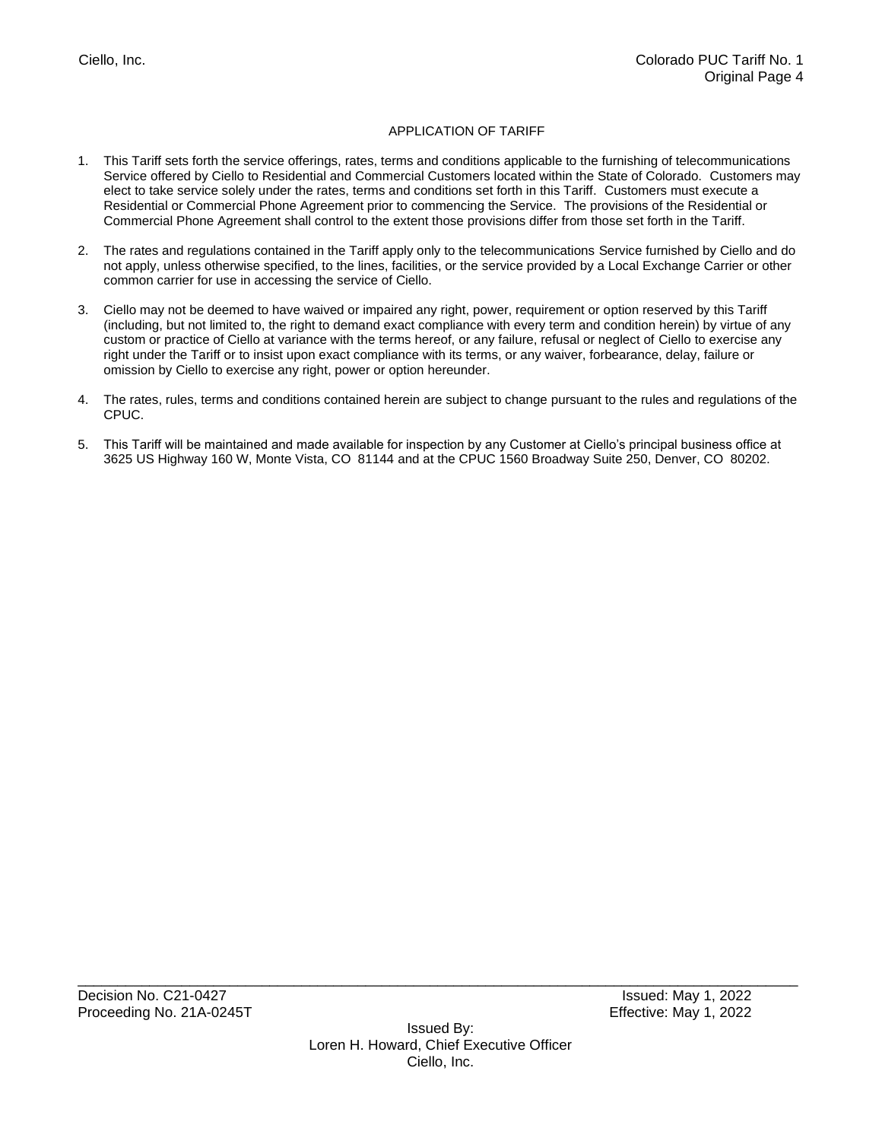# APPLICATION OF TARIFF

- 1. This Tariff sets forth the service offerings, rates, terms and conditions applicable to the furnishing of telecommunications Service offered by Ciello to Residential and Commercial Customers located within the State of Colorado. Customers may elect to take service solely under the rates, terms and conditions set forth in this Tariff. Customers must execute a Residential or Commercial Phone Agreement prior to commencing the Service. The provisions of the Residential or Commercial Phone Agreement shall control to the extent those provisions differ from those set forth in the Tariff.
- 2. The rates and regulations contained in the Tariff apply only to the telecommunications Service furnished by Ciello and do not apply, unless otherwise specified, to the lines, facilities, or the service provided by a Local Exchange Carrier or other common carrier for use in accessing the service of Ciello.
- 3. Ciello may not be deemed to have waived or impaired any right, power, requirement or option reserved by this Tariff (including, but not limited to, the right to demand exact compliance with every term and condition herein) by virtue of any custom or practice of Ciello at variance with the terms hereof, or any failure, refusal or neglect of Ciello to exercise any right under the Tariff or to insist upon exact compliance with its terms, or any waiver, forbearance, delay, failure or omission by Ciello to exercise any right, power or option hereunder.
- 4. The rates, rules, terms and conditions contained herein are subject to change pursuant to the rules and regulations of the CPUC.
- 5. This Tariff will be maintained and made available for inspection by any Customer at Ciello's principal business office at 3625 US Highway 160 W, Monte Vista, CO 81144 and at the CPUC 1560 Broadway Suite 250, Denver, CO 80202.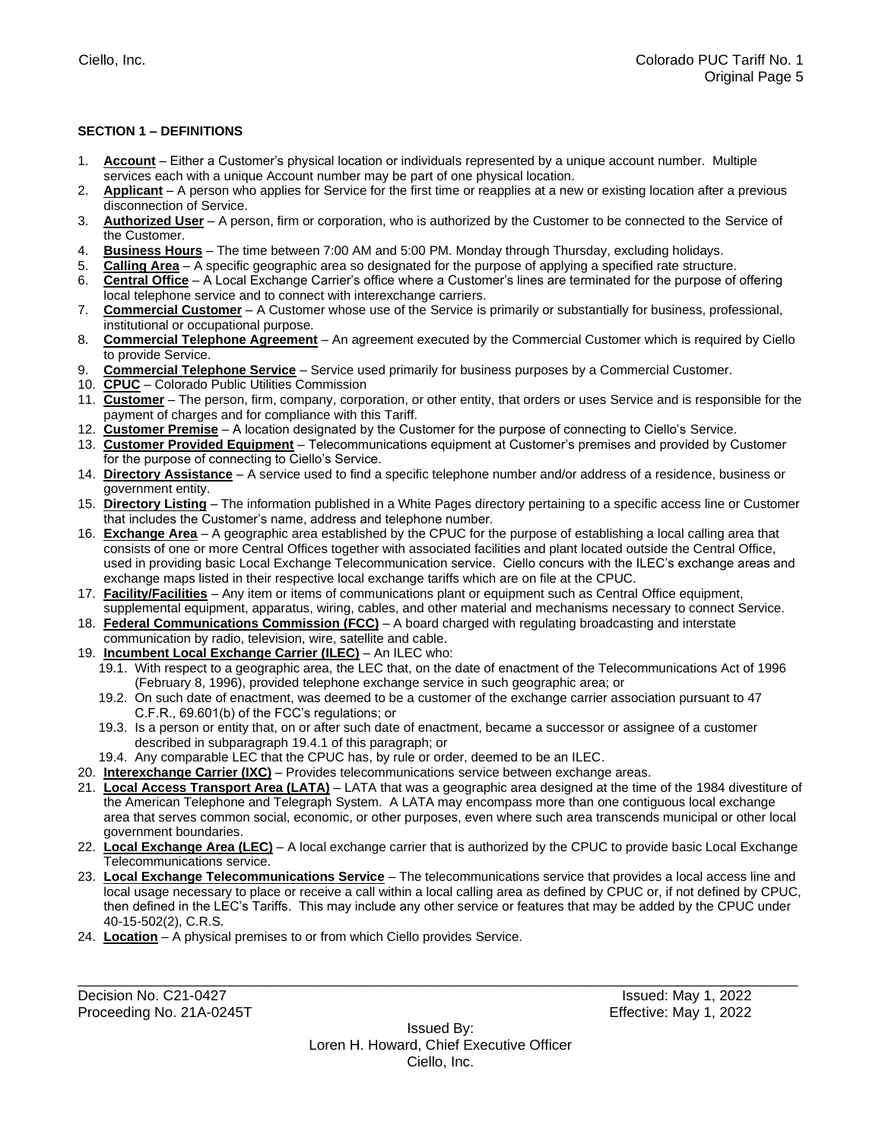# **SECTION 1 – DEFINITIONS**

- 1. **Account** Either a Customer's physical location or individuals represented by a unique account number. Multiple services each with a unique Account number may be part of one physical location.
- 2. **Applicant** A person who applies for Service for the first time or reapplies at a new or existing location after a previous disconnection of Service.
- 3. **Authorized User** A person, firm or corporation, who is authorized by the Customer to be connected to the Service of the Customer.
- 4. **Business Hours** The time between 7:00 AM and 5:00 PM. Monday through Thursday, excluding holidays.
- 5. **Calling Area** A specific geographic area so designated for the purpose of applying a specified rate structure.
- 6. **Central Office** A Local Exchange Carrier's office where a Customer's lines are terminated for the purpose of offering local telephone service and to connect with interexchange carriers.
- 7. **Commercial Customer** A Customer whose use of the Service is primarily or substantially for business, professional, institutional or occupational purpose.
- 8. **Commercial Telephone Agreement** An agreement executed by the Commercial Customer which is required by Ciello to provide Service.
- 9. **Commercial Telephone Service** Service used primarily for business purposes by a Commercial Customer.
- 10. **CPUC** Colorado Public Utilities Commission
- 11. **Customer** The person, firm, company, corporation, or other entity, that orders or uses Service and is responsible for the payment of charges and for compliance with this Tariff.
- 12. **Customer Premise** A location designated by the Customer for the purpose of connecting to Ciello's Service.
- 13. **Customer Provided Equipment** Telecommunications equipment at Customer's premises and provided by Customer for the purpose of connecting to Ciello's Service.
- 14. **Directory Assistance** A service used to find a specific telephone number and/or address of a residence, business or government entity.
- 15. **Directory Listing** The information published in a White Pages directory pertaining to a specific access line or Customer that includes the Customer's name, address and telephone number.
- 16. **Exchange Area** A geographic area established by the CPUC for the purpose of establishing a local calling area that consists of one or more Central Offices together with associated facilities and plant located outside the Central Office, used in providing basic Local Exchange Telecommunication service. Ciello concurs with the ILEC's exchange areas and exchange maps listed in their respective local exchange tariffs which are on file at the CPUC.
- 17. **Facility/Facilities** Any item or items of communications plant or equipment such as Central Office equipment, supplemental equipment, apparatus, wiring, cables, and other material and mechanisms necessary to connect Service.
- 18. **Federal Communications Commission (FCC)** A board charged with regulating broadcasting and interstate communication by radio, television, wire, satellite and cable.
- 19. **Incumbent Local Exchange Carrier (ILEC)** An ILEC who:
	- 19.1. With respect to a geographic area, the LEC that, on the date of enactment of the Telecommunications Act of 1996 (February 8, 1996), provided telephone exchange service in such geographic area; or
	- 19.2. On such date of enactment, was deemed to be a customer of the exchange carrier association pursuant to 47 C.F.R., 69.601(b) of the FCC's regulations; or
	- 19.3. Is a person or entity that, on or after such date of enactment, became a successor or assignee of a customer described in subparagraph 19.4.1 of this paragraph; or
	- 19.4. Any comparable LEC that the CPUC has, by rule or order, deemed to be an ILEC.
- 20. **Interexchange Carrier (IXC)** Provides telecommunications service between exchange areas.
- 21. **Local Access Transport Area (LATA)** LATA that was a geographic area designed at the time of the 1984 divestiture of the American Telephone and Telegraph System. A LATA may encompass more than one contiguous local exchange area that serves common social, economic, or other purposes, even where such area transcends municipal or other local government boundaries.
- 22. **Local Exchange Area (LEC)** A local exchange carrier that is authorized by the CPUC to provide basic Local Exchange Telecommunications service.
- 23. **Local Exchange Telecommunications Service** The telecommunications service that provides a local access line and local usage necessary to place or receive a call within a local calling area as defined by CPUC or, if not defined by CPUC, then defined in the LEC's Tariffs. This may include any other service or features that may be added by the CPUC under 40-15-502(2), C.R.S.
- 24. **Location** A physical premises to or from which Ciello provides Service.

\_\_\_\_\_\_\_\_\_\_\_\_\_\_\_\_\_\_\_\_\_\_\_\_\_\_\_\_\_\_\_\_\_\_\_\_\_\_\_\_\_\_\_\_\_\_\_\_\_\_\_\_\_\_\_\_\_\_\_\_\_\_\_\_\_\_\_\_\_\_\_\_\_\_\_\_\_\_\_\_\_\_\_\_\_\_\_\_\_\_ Decision No. C21-0427 Issued: May 1, 2022 Proceeding No. 21A-0245T Effective: May 1, 2022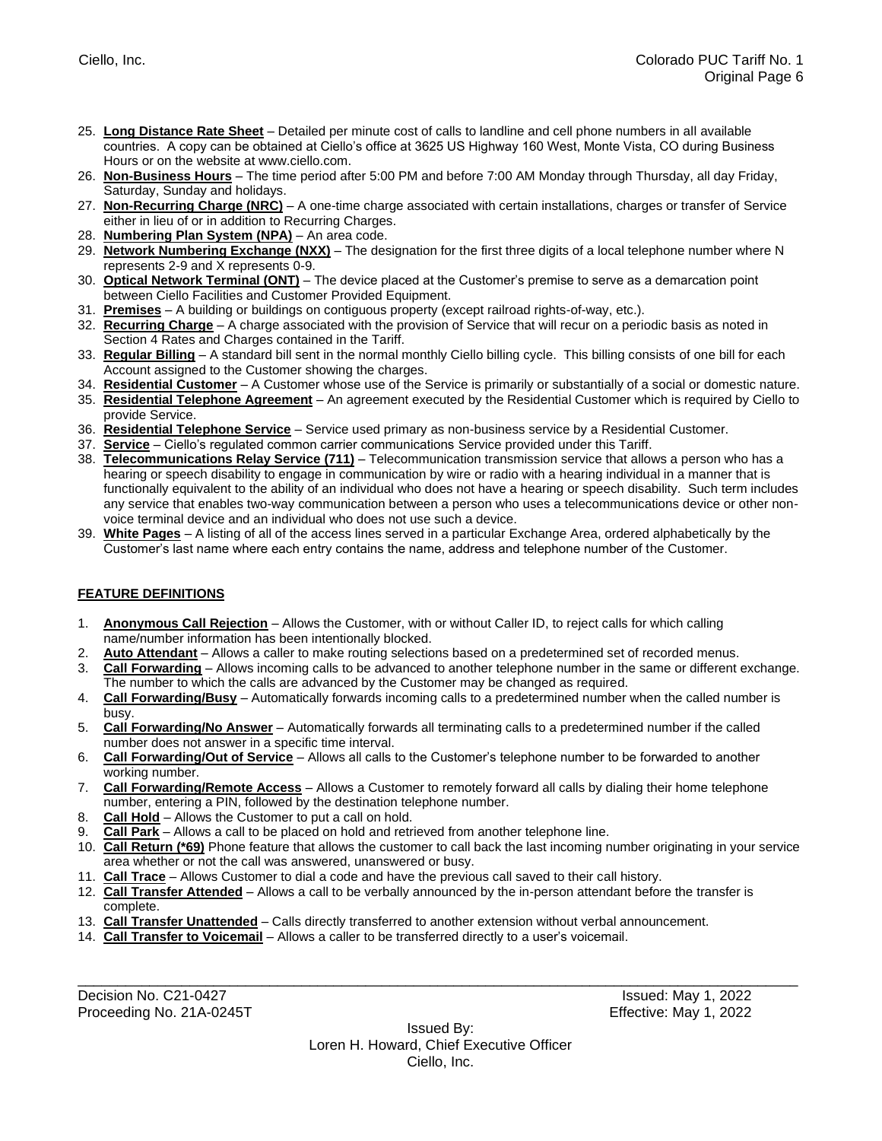- 25. **Long Distance Rate Sheet** Detailed per minute cost of calls to landline and cell phone numbers in all available countries. A copy can be obtained at Ciello's office at 3625 US Highway 160 West, Monte Vista, CO during Business Hours or on the website at www.ciello.com.
- 26. **Non-Business Hours** The time period after 5:00 PM and before 7:00 AM Monday through Thursday, all day Friday, Saturday, Sunday and holidays.
- 27. **Non-Recurring Charge (NRC)** A one-time charge associated with certain installations, charges or transfer of Service either in lieu of or in addition to Recurring Charges.
- 28. **Numbering Plan System (NPA)** An area code.
- 29. **Network Numbering Exchange (NXX)** The designation for the first three digits of a local telephone number where N represents 2-9 and X represents 0-9.
- 30. **Optical Network Terminal (ONT)** The device placed at the Customer's premise to serve as a demarcation point between Ciello Facilities and Customer Provided Equipment.
- 31. **Premises** A building or buildings on contiguous property (except railroad rights-of-way, etc.).
- 32. **Recurring Charge** A charge associated with the provision of Service that will recur on a periodic basis as noted in Section 4 Rates and Charges contained in the Tariff.
- 33. **Regular Billing** A standard bill sent in the normal monthly Ciello billing cycle. This billing consists of one bill for each Account assigned to the Customer showing the charges.
- 34. **Residential Customer** A Customer whose use of the Service is primarily or substantially of a social or domestic nature.
- 35. **Residential Telephone Agreement** An agreement executed by the Residential Customer which is required by Ciello to provide Service.
- 36. **Residential Telephone Service** Service used primary as non-business service by a Residential Customer.
- 37. **Service** Ciello's regulated common carrier communications Service provided under this Tariff.
- 38. **Telecommunications Relay Service (711)** Telecommunication transmission service that allows a person who has a hearing or speech disability to engage in communication by wire or radio with a hearing individual in a manner that is functionally equivalent to the ability of an individual who does not have a hearing or speech disability. Such term includes any service that enables two-way communication between a person who uses a telecommunications device or other nonvoice terminal device and an individual who does not use such a device.
- 39. **White Pages** A listing of all of the access lines served in a particular Exchange Area, ordered alphabetically by the Customer's last name where each entry contains the name, address and telephone number of the Customer.

## **FEATURE DEFINITIONS**

- 1. **Anonymous Call Rejection** Allows the Customer, with or without Caller ID, to reject calls for which calling name/number information has been intentionally blocked.
- 2. **Auto Attendant** Allows a caller to make routing selections based on a predetermined set of recorded menus.
- 3. **Call Forwarding** Allows incoming calls to be advanced to another telephone number in the same or different exchange. The number to which the calls are advanced by the Customer may be changed as required.
- 4. **Call Forwarding/Busy** Automatically forwards incoming calls to a predetermined number when the called number is busy.
- 5. **Call Forwarding/No Answer** Automatically forwards all terminating calls to a predetermined number if the called number does not answer in a specific time interval.
- 6. **Call Forwarding/Out of Service** Allows all calls to the Customer's telephone number to be forwarded to another working number.
- 7. **Call Forwarding/Remote Access** Allows a Customer to remotely forward all calls by dialing their home telephone number, entering a PIN, followed by the destination telephone number.
- 8. **Call Hold** Allows the Customer to put a call on hold.
- 9. **Call Park** Allows a call to be placed on hold and retrieved from another telephone line.
- 10. **Call Return (\*69)** Phone feature that allows the customer to call back the last incoming number originating in your service area whether or not the call was answered, unanswered or busy.
- 11. **Call Trace** Allows Customer to dial a code and have the previous call saved to their call history.
- 12. **Call Transfer Attended** Allows a call to be verbally announced by the in-person attendant before the transfer is complete.
- 13. **Call Transfer Unattended** Calls directly transferred to another extension without verbal announcement.
- 14. **Call Transfer to Voicemail** Allows a caller to be transferred directly to a user's voicemail.

\_\_\_\_\_\_\_\_\_\_\_\_\_\_\_\_\_\_\_\_\_\_\_\_\_\_\_\_\_\_\_\_\_\_\_\_\_\_\_\_\_\_\_\_\_\_\_\_\_\_\_\_\_\_\_\_\_\_\_\_\_\_\_\_\_\_\_\_\_\_\_\_\_\_\_\_\_\_\_\_\_\_\_\_\_\_\_\_\_\_ Decision No. C21-0427 Issued: May 1, 2022 Proceeding No. 21A-0245T Effective: May 1, 2022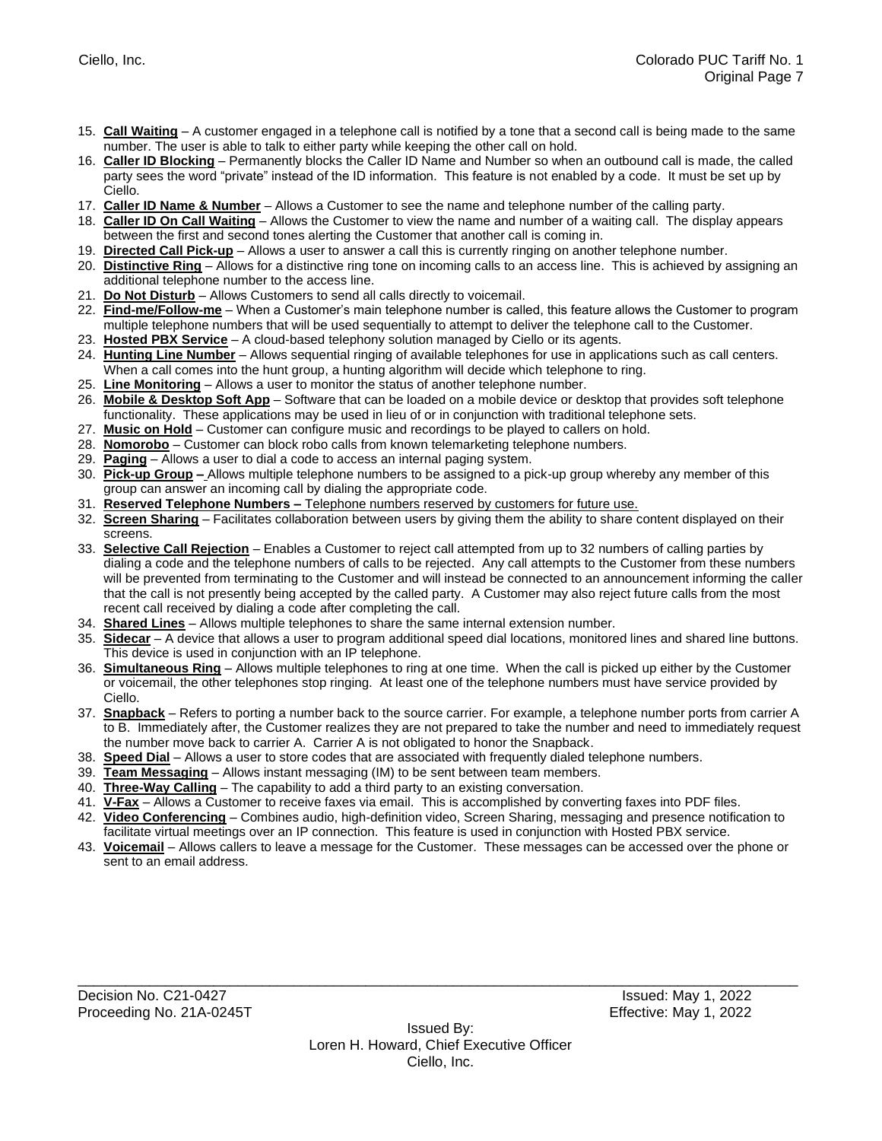- 15. **Call Waiting** A customer engaged in a telephone call is notified by a tone that a second call is being made to the same number. The user is able to talk to either party while keeping the other call on hold.
- 16. **Caller ID Blocking** Permanently blocks the Caller ID Name and Number so when an outbound call is made, the called party sees the word "private" instead of the ID information. This feature is not enabled by a code. It must be set up by Ciello.
- 17. **Caller ID Name & Number** Allows a Customer to see the name and telephone number of the calling party.
- 18. **Caller ID On Call Waiting** Allows the Customer to view the name and number of a waiting call. The display appears between the first and second tones alerting the Customer that another call is coming in.
- 19. **Directed Call Pick-up** Allows a user to answer a call this is currently ringing on another telephone number.
- 20. **Distinctive Ring** Allows for a distinctive ring tone on incoming calls to an access line. This is achieved by assigning an additional telephone number to the access line.
- 21. **Do Not Disturb** Allows Customers to send all calls directly to voicemail.
- 22. **Find-me/Follow-me** When a Customer's main telephone number is called, this feature allows the Customer to program multiple telephone numbers that will be used sequentially to attempt to deliver the telephone call to the Customer.
- 23. **Hosted PBX Service** A cloud-based telephony solution managed by Ciello or its agents.
- 24. **Hunting Line Number** Allows sequential ringing of available telephones for use in applications such as call centers. When a call comes into the hunt group, a hunting algorithm will decide which telephone to ring.
- 25. **Line Monitoring** Allows a user to monitor the status of another telephone number.
- 26. **Mobile & Desktop Soft App** Software that can be loaded on a mobile device or desktop that provides soft telephone functionality. These applications may be used in lieu of or in conjunction with traditional telephone sets.
- 27. **Music on Hold** Customer can configure music and recordings to be played to callers on hold.
- 28. **Nomorobo** Customer can block robo calls from known telemarketing telephone numbers.
- 29. **Paging** Allows a user to dial a code to access an internal paging system.
- 30. **Pick-up Group –** Allows multiple telephone numbers to be assigned to a pick-up group whereby any member of this group can answer an incoming call by dialing the appropriate code.
- 31. **Reserved Telephone Numbers –** Telephone numbers reserved by customers for future use.
- 32. **Screen Sharing** Facilitates collaboration between users by giving them the ability to share content displayed on their screens.
- 33. **Selective Call Rejection** Enables a Customer to reject call attempted from up to 32 numbers of calling parties by dialing a code and the telephone numbers of calls to be rejected. Any call attempts to the Customer from these numbers will be prevented from terminating to the Customer and will instead be connected to an announcement informing the caller that the call is not presently being accepted by the called party. A Customer may also reject future calls from the most recent call received by dialing a code after completing the call.
- 34. **Shared Lines** Allows multiple telephones to share the same internal extension number.
- 35. **Sidecar** A device that allows a user to program additional speed dial locations, monitored lines and shared line buttons. This device is used in conjunction with an IP telephone.
- 36. **Simultaneous Ring** Allows multiple telephones to ring at one time. When the call is picked up either by the Customer or voicemail, the other telephones stop ringing. At least one of the telephone numbers must have service provided by Ciello.
- 37. **Snapback** Refers to porting a number back to the source carrier. For example, a telephone number ports from carrier A to B. Immediately after, the Customer realizes they are not prepared to take the number and need to immediately request the number move back to carrier A. Carrier A is not obligated to honor the Snapback.
- 38. **Speed Dial** Allows a user to store codes that are associated with frequently dialed telephone numbers.
- 39. **Team Messaging** Allows instant messaging (IM) to be sent between team members.
- 40. **Three-Way Calling** The capability to add a third party to an existing conversation.
- 41. **V-Fax** Allows a Customer to receive faxes via email. This is accomplished by converting faxes into PDF files.
- 42. **Video Conferencing** Combines audio, high-definition video, Screen Sharing, messaging and presence notification to facilitate virtual meetings over an IP connection. This feature is used in conjunction with Hosted PBX service.
- 43. **Voicemail** Allows callers to leave a message for the Customer. These messages can be accessed over the phone or sent to an email address.

\_\_\_\_\_\_\_\_\_\_\_\_\_\_\_\_\_\_\_\_\_\_\_\_\_\_\_\_\_\_\_\_\_\_\_\_\_\_\_\_\_\_\_\_\_\_\_\_\_\_\_\_\_\_\_\_\_\_\_\_\_\_\_\_\_\_\_\_\_\_\_\_\_\_\_\_\_\_\_\_\_\_\_\_\_\_\_\_\_\_ Decision No. C21-0427 Issued: May 1, 2022 Proceeding No. 21A-0245T Effective: May 1, 2022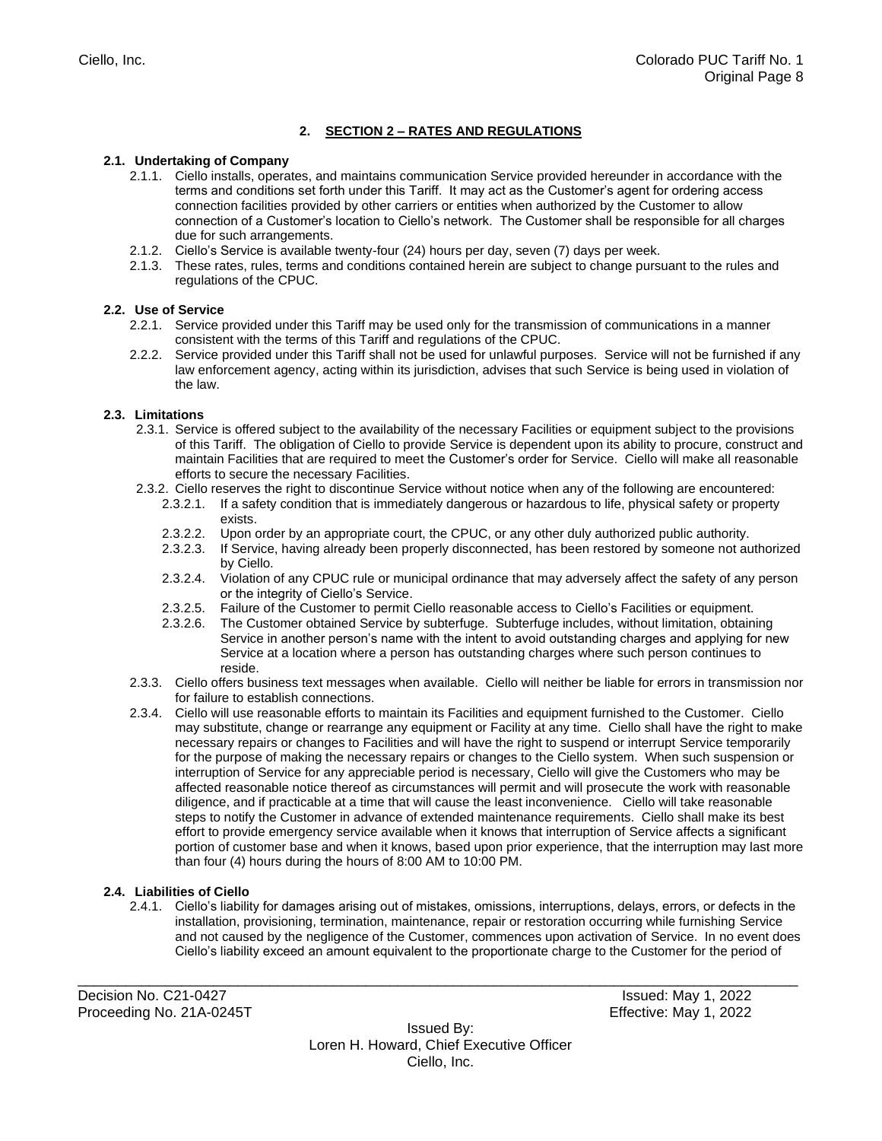# **2. SECTION 2 – RATES AND REGULATIONS**

## **2.1. Undertaking of Company**

- 2.1.1. Ciello installs, operates, and maintains communication Service provided hereunder in accordance with the terms and conditions set forth under this Tariff. It may act as the Customer's agent for ordering access connection facilities provided by other carriers or entities when authorized by the Customer to allow connection of a Customer's location to Ciello's network. The Customer shall be responsible for all charges due for such arrangements.
- 2.1.2. Ciello's Service is available twenty-four (24) hours per day, seven (7) days per week.
- 2.1.3. These rates, rules, terms and conditions contained herein are subject to change pursuant to the rules and regulations of the CPUC.

## **2.2. Use of Service**

- 2.2.1. Service provided under this Tariff may be used only for the transmission of communications in a manner consistent with the terms of this Tariff and regulations of the CPUC.
- 2.2.2. Service provided under this Tariff shall not be used for unlawful purposes. Service will not be furnished if any law enforcement agency, acting within its jurisdiction, advises that such Service is being used in violation of the law.

## **2.3. Limitations**

- 2.3.1. Service is offered subject to the availability of the necessary Facilities or equipment subject to the provisions of this Tariff. The obligation of Ciello to provide Service is dependent upon its ability to procure, construct and maintain Facilities that are required to meet the Customer's order for Service. Ciello will make all reasonable efforts to secure the necessary Facilities.
- 2.3.2. Ciello reserves the right to discontinue Service without notice when any of the following are encountered:
	- 2.3.2.1. If a safety condition that is immediately dangerous or hazardous to life, physical safety or property exists.
	- 2.3.2.2. Upon order by an appropriate court, the CPUC, or any other duly authorized public authority.
	- 2.3.2.3. If Service, having already been properly disconnected, has been restored by someone not authorized by Ciello.
	- 2.3.2.4. Violation of any CPUC rule or municipal ordinance that may adversely affect the safety of any person or the integrity of Ciello's Service.
	- 2.3.2.5. Failure of the Customer to permit Ciello reasonable access to Ciello's Facilities or equipment.
	- 2.3.2.6. The Customer obtained Service by subterfuge. Subterfuge includes, without limitation, obtaining Service in another person's name with the intent to avoid outstanding charges and applying for new Service at a location where a person has outstanding charges where such person continues to reside.
- 2.3.3. Ciello offers business text messages when available. Ciello will neither be liable for errors in transmission nor for failure to establish connections.
- 2.3.4. Ciello will use reasonable efforts to maintain its Facilities and equipment furnished to the Customer. Ciello may substitute, change or rearrange any equipment or Facility at any time. Ciello shall have the right to make necessary repairs or changes to Facilities and will have the right to suspend or interrupt Service temporarily for the purpose of making the necessary repairs or changes to the Ciello system. When such suspension or interruption of Service for any appreciable period is necessary, Ciello will give the Customers who may be affected reasonable notice thereof as circumstances will permit and will prosecute the work with reasonable diligence, and if practicable at a time that will cause the least inconvenience. Ciello will take reasonable steps to notify the Customer in advance of extended maintenance requirements. Ciello shall make its best effort to provide emergency service available when it knows that interruption of Service affects a significant portion of customer base and when it knows, based upon prior experience, that the interruption may last more than four (4) hours during the hours of 8:00 AM to 10:00 PM.

## **2.4. Liabilities of Ciello**

2.4.1. Ciello's liability for damages arising out of mistakes, omissions, interruptions, delays, errors, or defects in the installation, provisioning, termination, maintenance, repair or restoration occurring while furnishing Service and not caused by the negligence of the Customer, commences upon activation of Service. In no event does Ciello's liability exceed an amount equivalent to the proportionate charge to the Customer for the period of

\_\_\_\_\_\_\_\_\_\_\_\_\_\_\_\_\_\_\_\_\_\_\_\_\_\_\_\_\_\_\_\_\_\_\_\_\_\_\_\_\_\_\_\_\_\_\_\_\_\_\_\_\_\_\_\_\_\_\_\_\_\_\_\_\_\_\_\_\_\_\_\_\_\_\_\_\_\_\_\_\_\_\_\_\_\_\_\_\_\_ Decision No. C21-0427 Issued: May 1, 2022 Proceeding No. 21A-0245T Effective: May 1, 2022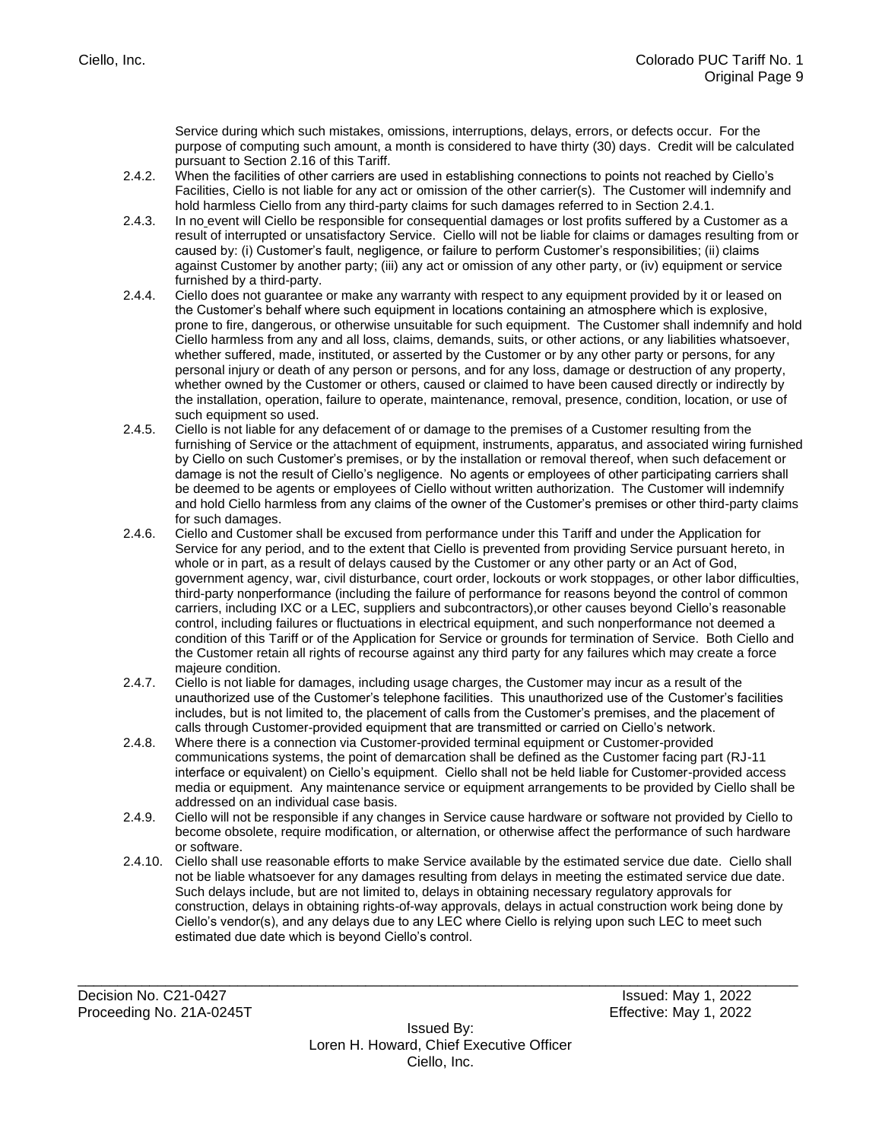Service during which such mistakes, omissions, interruptions, delays, errors, or defects occur. For the purpose of computing such amount, a month is considered to have thirty (30) days. Credit will be calculated pursuant to Section 2.16 of this Tariff.

- 2.4.2. When the facilities of other carriers are used in establishing connections to points not reached by Ciello's Facilities, Ciello is not liable for any act or omission of the other carrier(s). The Customer will indemnify and hold harmless Ciello from any third-party claims for such damages referred to in Section 2.4.1.
- 2.4.3. In no event will Ciello be responsible for consequential damages or lost profits suffered by a Customer as a result of interrupted or unsatisfactory Service. Ciello will not be liable for claims or damages resulting from or caused by: (i) Customer's fault, negligence, or failure to perform Customer's responsibilities; (ii) claims against Customer by another party; (iii) any act or omission of any other party, or (iv) equipment or service furnished by a third-party.
- 2.4.4. Ciello does not guarantee or make any warranty with respect to any equipment provided by it or leased on the Customer's behalf where such equipment in locations containing an atmosphere which is explosive, prone to fire, dangerous, or otherwise unsuitable for such equipment. The Customer shall indemnify and hold Ciello harmless from any and all loss, claims, demands, suits, or other actions, or any liabilities whatsoever, whether suffered, made, instituted, or asserted by the Customer or by any other party or persons, for any personal injury or death of any person or persons, and for any loss, damage or destruction of any property, whether owned by the Customer or others, caused or claimed to have been caused directly or indirectly by the installation, operation, failure to operate, maintenance, removal, presence, condition, location, or use of such equipment so used.
- 2.4.5. Ciello is not liable for any defacement of or damage to the premises of a Customer resulting from the furnishing of Service or the attachment of equipment, instruments, apparatus, and associated wiring furnished by Ciello on such Customer's premises, or by the installation or removal thereof, when such defacement or damage is not the result of Ciello's negligence. No agents or employees of other participating carriers shall be deemed to be agents or employees of Ciello without written authorization. The Customer will indemnify and hold Ciello harmless from any claims of the owner of the Customer's premises or other third-party claims for such damages.
- 2.4.6. Ciello and Customer shall be excused from performance under this Tariff and under the Application for Service for any period, and to the extent that Ciello is prevented from providing Service pursuant hereto, in whole or in part, as a result of delays caused by the Customer or any other party or an Act of God, government agency, war, civil disturbance, court order, lockouts or work stoppages, or other labor difficulties, third-party nonperformance (including the failure of performance for reasons beyond the control of common carriers, including IXC or a LEC, suppliers and subcontractors),or other causes beyond Ciello's reasonable control, including failures or fluctuations in electrical equipment, and such nonperformance not deemed a condition of this Tariff or of the Application for Service or grounds for termination of Service. Both Ciello and the Customer retain all rights of recourse against any third party for any failures which may create a force majeure condition.
- 2.4.7. Ciello is not liable for damages, including usage charges, the Customer may incur as a result of the unauthorized use of the Customer's telephone facilities. This unauthorized use of the Customer's facilities includes, but is not limited to, the placement of calls from the Customer's premises, and the placement of calls through Customer-provided equipment that are transmitted or carried on Ciello's network.
- 2.4.8. Where there is a connection via Customer-provided terminal equipment or Customer-provided communications systems, the point of demarcation shall be defined as the Customer facing part (RJ-11 interface or equivalent) on Ciello's equipment. Ciello shall not be held liable for Customer-provided access media or equipment. Any maintenance service or equipment arrangements to be provided by Ciello shall be addressed on an individual case basis.
- 2.4.9. Ciello will not be responsible if any changes in Service cause hardware or software not provided by Ciello to become obsolete, require modification, or alternation, or otherwise affect the performance of such hardware or software.
- 2.4.10. Ciello shall use reasonable efforts to make Service available by the estimated service due date. Ciello shall not be liable whatsoever for any damages resulting from delays in meeting the estimated service due date. Such delays include, but are not limited to, delays in obtaining necessary regulatory approvals for construction, delays in obtaining rights-of-way approvals, delays in actual construction work being done by Ciello's vendor(s), and any delays due to any LEC where Ciello is relying upon such LEC to meet such estimated due date which is beyond Ciello's control.

\_\_\_\_\_\_\_\_\_\_\_\_\_\_\_\_\_\_\_\_\_\_\_\_\_\_\_\_\_\_\_\_\_\_\_\_\_\_\_\_\_\_\_\_\_\_\_\_\_\_\_\_\_\_\_\_\_\_\_\_\_\_\_\_\_\_\_\_\_\_\_\_\_\_\_\_\_\_\_\_\_\_\_\_\_\_\_\_\_\_ Decision No. C21-0427 Issued: May 1, 2022 Proceeding No. 21A-0245T Effective: May 1, 2022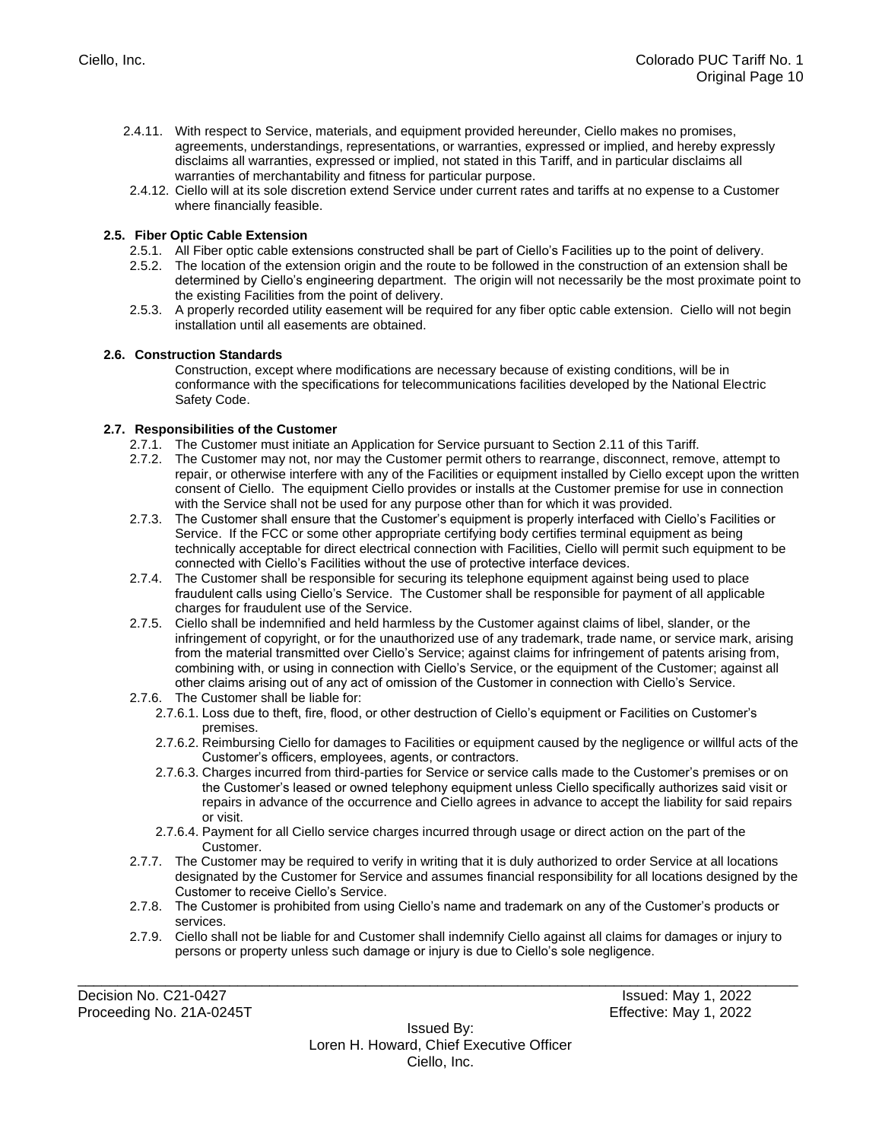- 2.4.11. With respect to Service, materials, and equipment provided hereunder, Ciello makes no promises, agreements, understandings, representations, or warranties, expressed or implied, and hereby expressly disclaims all warranties, expressed or implied, not stated in this Tariff, and in particular disclaims all warranties of merchantability and fitness for particular purpose.
- 2.4.12. Ciello will at its sole discretion extend Service under current rates and tariffs at no expense to a Customer where financially feasible.

## **2.5. Fiber Optic Cable Extension**

- 2.5.1. All Fiber optic cable extensions constructed shall be part of Ciello's Facilities up to the point of delivery.
- 2.5.2. The location of the extension origin and the route to be followed in the construction of an extension shall be determined by Ciello's engineering department. The origin will not necessarily be the most proximate point to the existing Facilities from the point of delivery.
- 2.5.3. A properly recorded utility easement will be required for any fiber optic cable extension. Ciello will not begin installation until all easements are obtained.

## **2.6. Construction Standards**

Construction, except where modifications are necessary because of existing conditions, will be in conformance with the specifications for telecommunications facilities developed by the National Electric Safety Code.

#### **2.7. Responsibilities of the Customer**

- 2.7.1. The Customer must initiate an Application for Service pursuant to Section 2.11 of this Tariff.
- 2.7.2. The Customer may not, nor may the Customer permit others to rearrange, disconnect, remove, attempt to repair, or otherwise interfere with any of the Facilities or equipment installed by Ciello except upon the written consent of Ciello. The equipment Ciello provides or installs at the Customer premise for use in connection with the Service shall not be used for any purpose other than for which it was provided.
- 2.7.3. The Customer shall ensure that the Customer's equipment is properly interfaced with Ciello's Facilities or Service. If the FCC or some other appropriate certifying body certifies terminal equipment as being technically acceptable for direct electrical connection with Facilities, Ciello will permit such equipment to be connected with Ciello's Facilities without the use of protective interface devices.
- 2.7.4. The Customer shall be responsible for securing its telephone equipment against being used to place fraudulent calls using Ciello's Service. The Customer shall be responsible for payment of all applicable charges for fraudulent use of the Service.
- 2.7.5. Ciello shall be indemnified and held harmless by the Customer against claims of libel, slander, or the infringement of copyright, or for the unauthorized use of any trademark, trade name, or service mark, arising from the material transmitted over Ciello's Service; against claims for infringement of patents arising from, combining with, or using in connection with Ciello's Service, or the equipment of the Customer; against all other claims arising out of any act of omission of the Customer in connection with Ciello's Service.
- 2.7.6. The Customer shall be liable for:
	- 2.7.6.1. Loss due to theft, fire, flood, or other destruction of Ciello's equipment or Facilities on Customer's premises.
	- 2.7.6.2. Reimbursing Ciello for damages to Facilities or equipment caused by the negligence or willful acts of the Customer's officers, employees, agents, or contractors.
	- 2.7.6.3. Charges incurred from third-parties for Service or service calls made to the Customer's premises or on the Customer's leased or owned telephony equipment unless Ciello specifically authorizes said visit or repairs in advance of the occurrence and Ciello agrees in advance to accept the liability for said repairs or visit.
	- 2.7.6.4. Payment for all Ciello service charges incurred through usage or direct action on the part of the Customer.
- 2.7.7. The Customer may be required to verify in writing that it is duly authorized to order Service at all locations designated by the Customer for Service and assumes financial responsibility for all locations designed by the Customer to receive Ciello's Service.
- 2.7.8. The Customer is prohibited from using Ciello's name and trademark on any of the Customer's products or services.
- 2.7.9. Ciello shall not be liable for and Customer shall indemnify Ciello against all claims for damages or injury to persons or property unless such damage or injury is due to Ciello's sole negligence.

\_\_\_\_\_\_\_\_\_\_\_\_\_\_\_\_\_\_\_\_\_\_\_\_\_\_\_\_\_\_\_\_\_\_\_\_\_\_\_\_\_\_\_\_\_\_\_\_\_\_\_\_\_\_\_\_\_\_\_\_\_\_\_\_\_\_\_\_\_\_\_\_\_\_\_\_\_\_\_\_\_\_\_\_\_\_\_\_\_\_ Decision No. C21-0427 Issued: May 1, 2022 Proceeding No. 21A-0245T Effective: May 1, 2022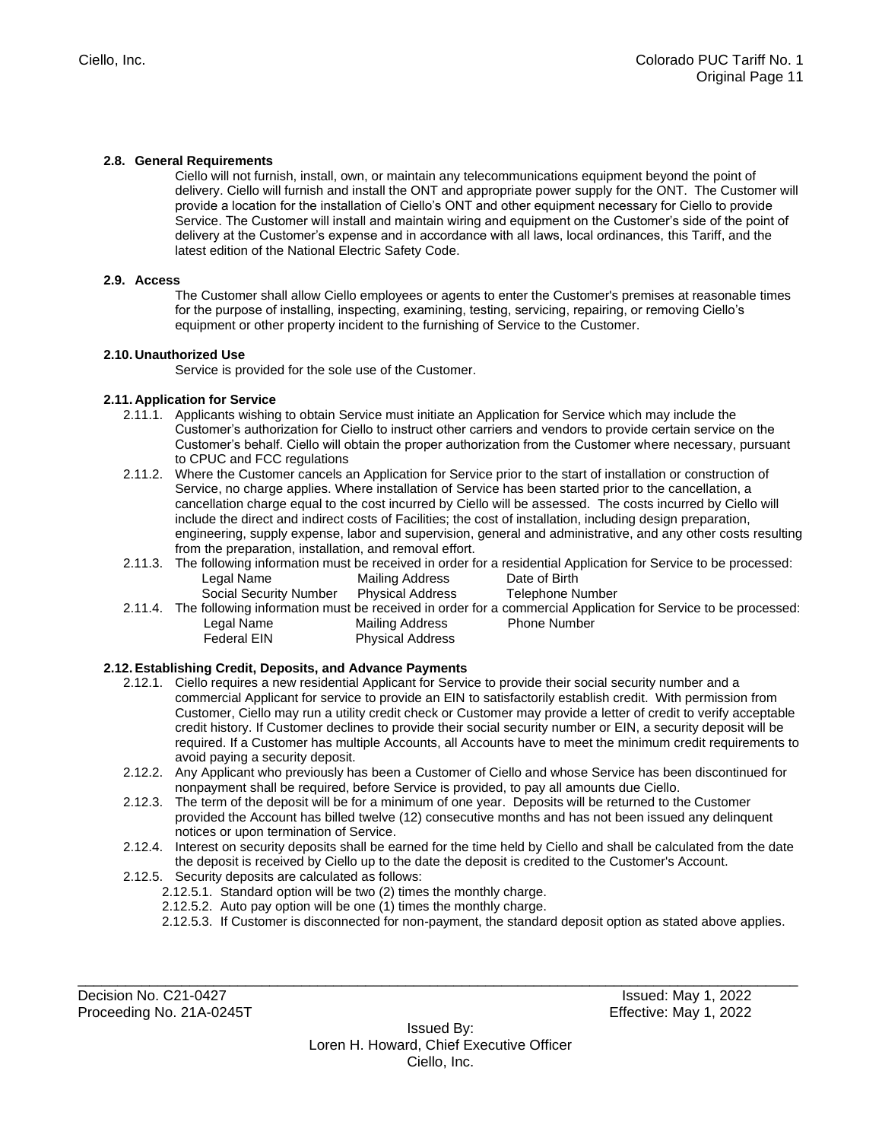#### **2.8. General Requirements**

Ciello will not furnish, install, own, or maintain any telecommunications equipment beyond the point of delivery. Ciello will furnish and install the ONT and appropriate power supply for the ONT. The Customer will provide a location for the installation of Ciello's ONT and other equipment necessary for Ciello to provide Service. The Customer will install and maintain wiring and equipment on the Customer's side of the point of delivery at the Customer's expense and in accordance with all laws, local ordinances, this Tariff, and the latest edition of the National Electric Safety Code.

#### **2.9. Access**

The Customer shall allow Ciello employees or agents to enter the Customer's premises at reasonable times for the purpose of installing, inspecting, examining, testing, servicing, repairing, or removing Ciello's equipment or other property incident to the furnishing of Service to the Customer.

#### **2.10. Unauthorized Use**

Service is provided for the sole use of the Customer.

## **2.11. Application for Service**

- 2.11.1. Applicants wishing to obtain Service must initiate an Application for Service which may include the Customer's authorization for Ciello to instruct other carriers and vendors to provide certain service on the Customer's behalf. Ciello will obtain the proper authorization from the Customer where necessary, pursuant to CPUC and FCC regulations
- 2.11.2. Where the Customer cancels an Application for Service prior to the start of installation or construction of Service, no charge applies. Where installation of Service has been started prior to the cancellation, a cancellation charge equal to the cost incurred by Ciello will be assessed. The costs incurred by Ciello will include the direct and indirect costs of Facilities; the cost of installation, including design preparation, engineering, supply expense, labor and supervision, general and administrative, and any other costs resulting from the preparation, installation, and removal effort.
- 2.11.3. The following information must be received in order for a residential Application for Service to be processed: Legal Name **Mailing Address** Date of Birth<br>
Social Security Number Physical Address Telephone Number Social Security Number
- 2.11.4. The following information must be received in order for a commercial Application for Service to be processed: Legal Name Mailing Address Phone Number Federal EIN Physical Address

#### **2.12.Establishing Credit, Deposits, and Advance Payments**

- 2.12.1. Ciello requires a new residential Applicant for Service to provide their social security number and a commercial Applicant for service to provide an EIN to satisfactorily establish credit. With permission from Customer, Ciello may run a utility credit check or Customer may provide a letter of credit to verify acceptable credit history. If Customer declines to provide their social security number or EIN, a security deposit will be required. If a Customer has multiple Accounts, all Accounts have to meet the minimum credit requirements to avoid paying a security deposit.
- 2.12.2. Any Applicant who previously has been a Customer of Ciello and whose Service has been discontinued for nonpayment shall be required, before Service is provided, to pay all amounts due Ciello.
- 2.12.3. The term of the deposit will be for a minimum of one year. Deposits will be returned to the Customer provided the Account has billed twelve (12) consecutive months and has not been issued any delinquent notices or upon termination of Service.
- 2.12.4. Interest on security deposits shall be earned for the time held by Ciello and shall be calculated from the date the deposit is received by Ciello up to the date the deposit is credited to the Customer's Account.
- 2.12.5. Security deposits are calculated as follows:
	- 2.12.5.1. Standard option will be two (2) times the monthly charge.
	- 2.12.5.2. Auto pay option will be one (1) times the monthly charge.
	- 2.12.5.3. If Customer is disconnected for non-payment, the standard deposit option as stated above applies.

Decision No. C21-0427 Issued: May 1, 2022 Proceeding No. 21A-0245T Effective: May 1, 2022

Issued By: Loren H. Howard, Chief Executive Officer Ciello, Inc.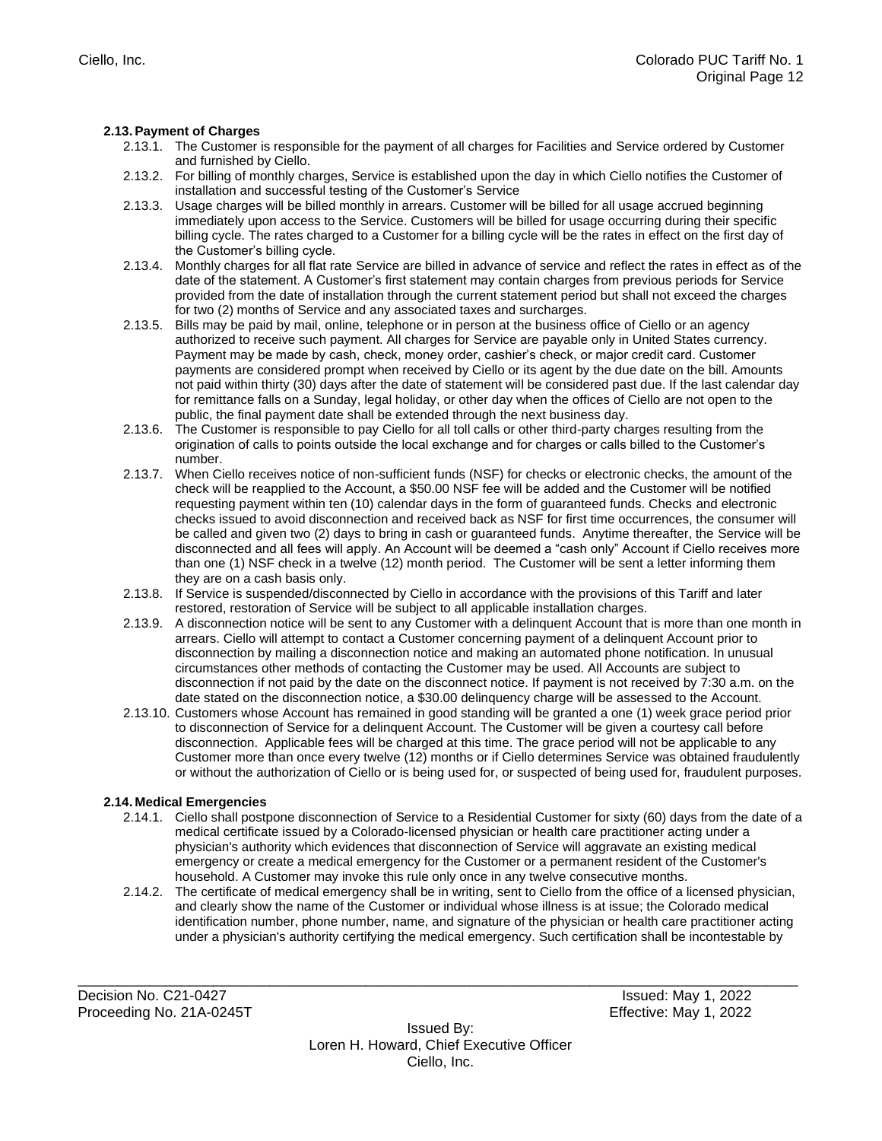## **2.13.Payment of Charges**

- 2.13.1. The Customer is responsible for the payment of all charges for Facilities and Service ordered by Customer and furnished by Ciello.
- 2.13.2. For billing of monthly charges, Service is established upon the day in which Ciello notifies the Customer of installation and successful testing of the Customer's Service
- 2.13.3. Usage charges will be billed monthly in arrears. Customer will be billed for all usage accrued beginning immediately upon access to the Service. Customers will be billed for usage occurring during their specific billing cycle. The rates charged to a Customer for a billing cycle will be the rates in effect on the first day of the Customer's billing cycle.
- 2.13.4. Monthly charges for all flat rate Service are billed in advance of service and reflect the rates in effect as of the date of the statement. A Customer's first statement may contain charges from previous periods for Service provided from the date of installation through the current statement period but shall not exceed the charges for two (2) months of Service and any associated taxes and surcharges.
- 2.13.5. Bills may be paid by mail, online, telephone or in person at the business office of Ciello or an agency authorized to receive such payment. All charges for Service are payable only in United States currency. Payment may be made by cash, check, money order, cashier's check, or major credit card. Customer payments are considered prompt when received by Ciello or its agent by the due date on the bill. Amounts not paid within thirty (30) days after the date of statement will be considered past due. If the last calendar day for remittance falls on a Sunday, legal holiday, or other day when the offices of Ciello are not open to the public, the final payment date shall be extended through the next business day.
- 2.13.6. The Customer is responsible to pay Ciello for all toll calls or other third-party charges resulting from the origination of calls to points outside the local exchange and for charges or calls billed to the Customer's number.
- 2.13.7. When Ciello receives notice of non-sufficient funds (NSF) for checks or electronic checks, the amount of the check will be reapplied to the Account, a \$50.00 NSF fee will be added and the Customer will be notified requesting payment within ten (10) calendar days in the form of guaranteed funds. Checks and electronic checks issued to avoid disconnection and received back as NSF for first time occurrences, the consumer will be called and given two (2) days to bring in cash or guaranteed funds. Anytime thereafter, the Service will be disconnected and all fees will apply. An Account will be deemed a "cash only" Account if Ciello receives more than one (1) NSF check in a twelve (12) month period. The Customer will be sent a letter informing them they are on a cash basis only.
- 2.13.8. If Service is suspended/disconnected by Ciello in accordance with the provisions of this Tariff and later restored, restoration of Service will be subject to all applicable installation charges.
- 2.13.9. A disconnection notice will be sent to any Customer with a delinquent Account that is more than one month in arrears. Ciello will attempt to contact a Customer concerning payment of a delinquent Account prior to disconnection by mailing a disconnection notice and making an automated phone notification. In unusual circumstances other methods of contacting the Customer may be used. All Accounts are subject to disconnection if not paid by the date on the disconnect notice. If payment is not received by 7:30 a.m. on the date stated on the disconnection notice, a \$30.00 delinquency charge will be assessed to the Account.
- 2.13.10. Customers whose Account has remained in good standing will be granted a one (1) week grace period prior to disconnection of Service for a delinquent Account. The Customer will be given a courtesy call before disconnection. Applicable fees will be charged at this time. The grace period will not be applicable to any Customer more than once every twelve (12) months or if Ciello determines Service was obtained fraudulently or without the authorization of Ciello or is being used for, or suspected of being used for, fraudulent purposes.

## **2.14. Medical Emergencies**

- 2.14.1. Ciello shall postpone disconnection of Service to a Residential Customer for sixty (60) days from the date of a medical certificate issued by a Colorado-licensed physician or health care practitioner acting under a physician's authority which evidences that disconnection of Service will aggravate an existing medical emergency or create a medical emergency for the Customer or a permanent resident of the Customer's household. A Customer may invoke this rule only once in any twelve consecutive months.
- 2.14.2. The certificate of medical emergency shall be in writing, sent to Ciello from the office of a licensed physician, and clearly show the name of the Customer or individual whose illness is at issue; the Colorado medical identification number, phone number, name, and signature of the physician or health care practitioner acting under a physician's authority certifying the medical emergency. Such certification shall be incontestable by

\_\_\_\_\_\_\_\_\_\_\_\_\_\_\_\_\_\_\_\_\_\_\_\_\_\_\_\_\_\_\_\_\_\_\_\_\_\_\_\_\_\_\_\_\_\_\_\_\_\_\_\_\_\_\_\_\_\_\_\_\_\_\_\_\_\_\_\_\_\_\_\_\_\_\_\_\_\_\_\_\_\_\_\_\_\_\_\_\_\_ Decision No. C21-0427 Issued: May 1, 2022 Proceeding No. 21A-0245T Effective: May 1, 2022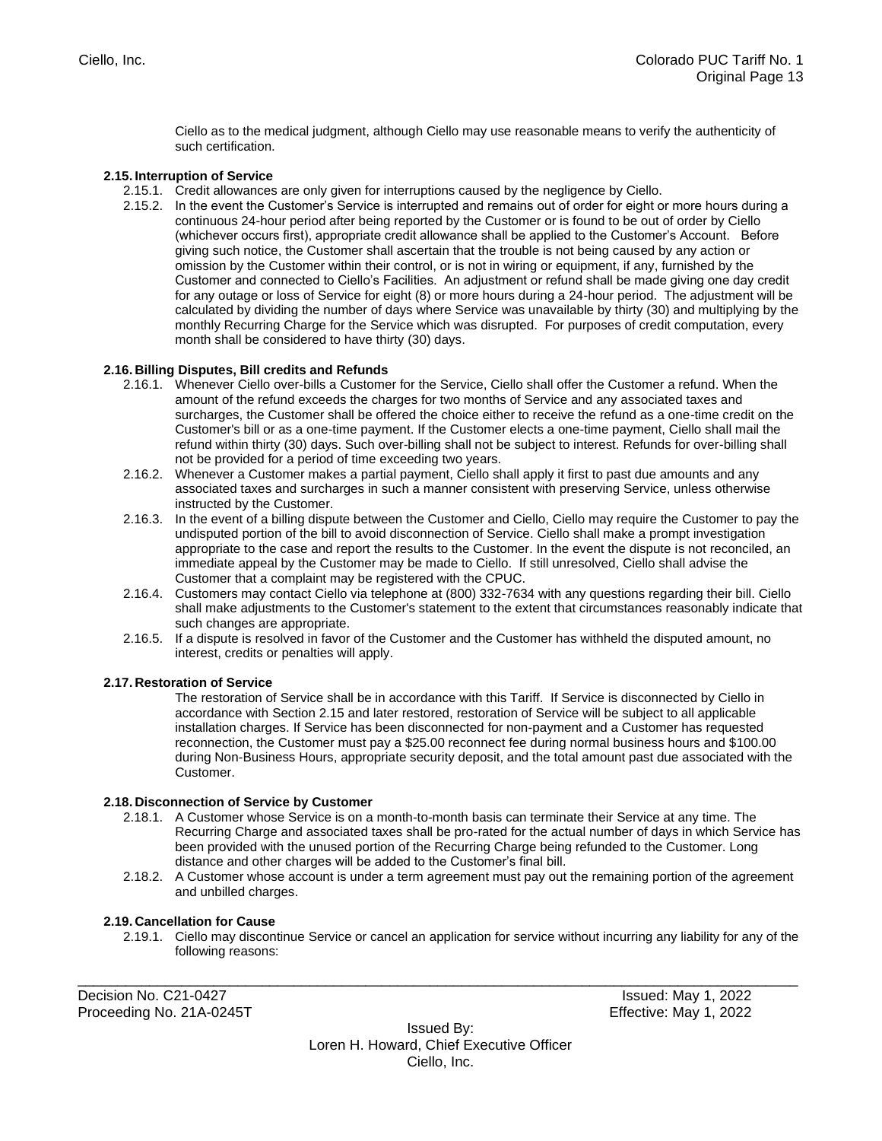Ciello as to the medical judgment, although Ciello may use reasonable means to verify the authenticity of such certification.

#### **2.15. Interruption of Service**

- 2.15.1. Credit allowances are only given for interruptions caused by the negligence by Ciello.
- 2.15.2. In the event the Customer's Service is interrupted and remains out of order for eight or more hours during a continuous 24-hour period after being reported by the Customer or is found to be out of order by Ciello (whichever occurs first), appropriate credit allowance shall be applied to the Customer's Account. Before giving such notice, the Customer shall ascertain that the trouble is not being caused by any action or omission by the Customer within their control, or is not in wiring or equipment, if any, furnished by the Customer and connected to Ciello's Facilities. An adjustment or refund shall be made giving one day credit for any outage or loss of Service for eight (8) or more hours during a 24-hour period. The adjustment will be calculated by dividing the number of days where Service was unavailable by thirty (30) and multiplying by the monthly Recurring Charge for the Service which was disrupted. For purposes of credit computation, every month shall be considered to have thirty (30) days.

## **2.16. Billing Disputes, Bill credits and Refunds**

- 2.16.1. Whenever Ciello over-bills a Customer for the Service, Ciello shall offer the Customer a refund. When the amount of the refund exceeds the charges for two months of Service and any associated taxes and surcharges, the Customer shall be offered the choice either to receive the refund as a one-time credit on the Customer's bill or as a one-time payment. If the Customer elects a one-time payment, Ciello shall mail the refund within thirty (30) days. Such over-billing shall not be subject to interest. Refunds for over-billing shall not be provided for a period of time exceeding two years.
- 2.16.2. Whenever a Customer makes a partial payment, Ciello shall apply it first to past due amounts and any associated taxes and surcharges in such a manner consistent with preserving Service, unless otherwise instructed by the Customer.
- 2.16.3. In the event of a billing dispute between the Customer and Ciello, Ciello may require the Customer to pay the undisputed portion of the bill to avoid disconnection of Service. Ciello shall make a prompt investigation appropriate to the case and report the results to the Customer. In the event the dispute is not reconciled, an immediate appeal by the Customer may be made to Ciello. If still unresolved, Ciello shall advise the Customer that a complaint may be registered with the CPUC.
- 2.16.4. Customers may contact Ciello via telephone at (800) 332-7634 with any questions regarding their bill. Ciello shall make adjustments to the Customer's statement to the extent that circumstances reasonably indicate that such changes are appropriate.
- 2.16.5. If a dispute is resolved in favor of the Customer and the Customer has withheld the disputed amount, no interest, credits or penalties will apply.

#### **2.17. Restoration of Service**

The restoration of Service shall be in accordance with this Tariff. If Service is disconnected by Ciello in accordance with Section 2.15 and later restored, restoration of Service will be subject to all applicable installation charges. If Service has been disconnected for non-payment and a Customer has requested reconnection, the Customer must pay a \$25.00 reconnect fee during normal business hours and \$100.00 during Non-Business Hours, appropriate security deposit, and the total amount past due associated with the Customer.

#### **2.18. Disconnection of Service by Customer**

- 2.18.1. A Customer whose Service is on a month-to-month basis can terminate their Service at any time. The Recurring Charge and associated taxes shall be pro-rated for the actual number of days in which Service has been provided with the unused portion of the Recurring Charge being refunded to the Customer. Long distance and other charges will be added to the Customer's final bill.
- 2.18.2. A Customer whose account is under a term agreement must pay out the remaining portion of the agreement and unbilled charges.

#### **2.19. Cancellation for Cause**

2.19.1. Ciello may discontinue Service or cancel an application for service without incurring any liability for any of the following reasons:

Decision No. C21-0427 Issued: May 1, 2022 Proceeding No. 21A-0245T Effective: May 1, 2022

\_\_\_\_\_\_\_\_\_\_\_\_\_\_\_\_\_\_\_\_\_\_\_\_\_\_\_\_\_\_\_\_\_\_\_\_\_\_\_\_\_\_\_\_\_\_\_\_\_\_\_\_\_\_\_\_\_\_\_\_\_\_\_\_\_\_\_\_\_\_\_\_\_\_\_\_\_\_\_\_\_\_\_\_\_\_\_\_\_\_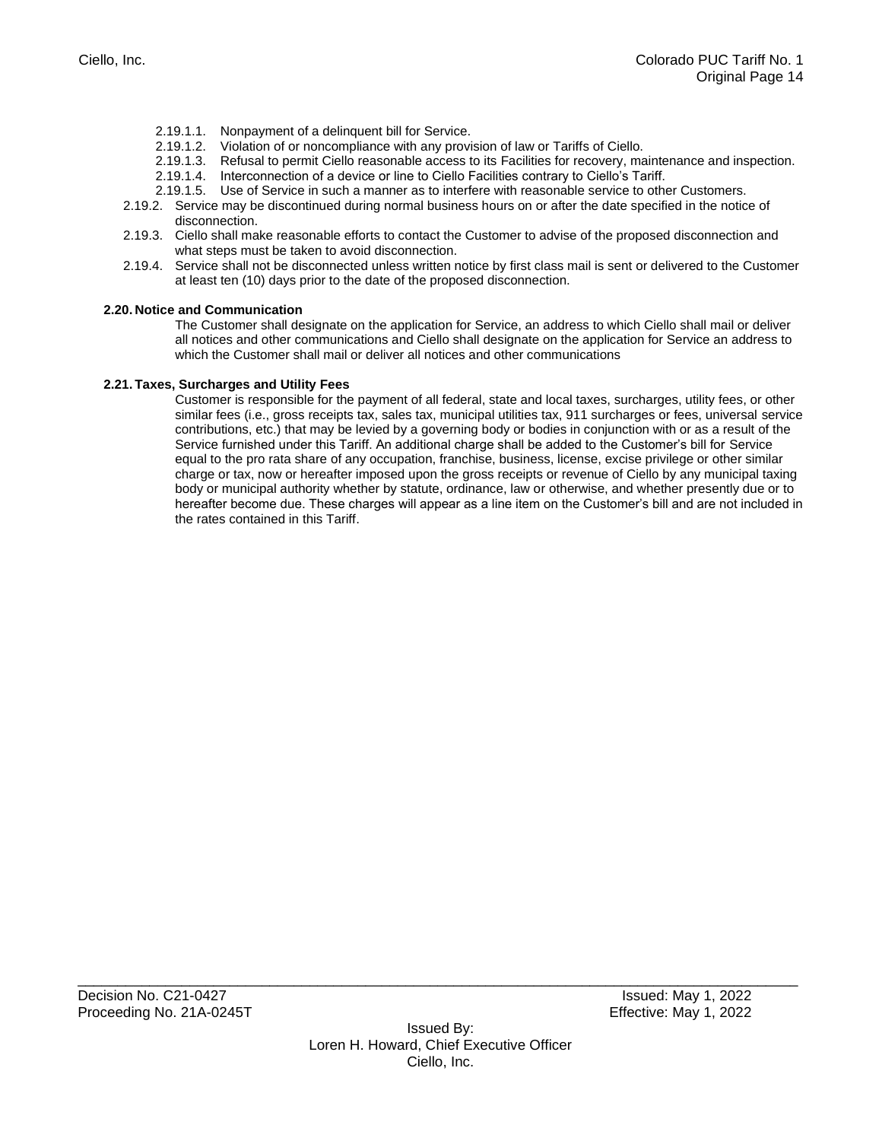- 2.19.1.1. Nonpayment of a delinquent bill for Service.
- 2.19.1.2. Violation of or noncompliance with any provision of law or Tariffs of Ciello.
- 2.19.1.3. Refusal to permit Ciello reasonable access to its Facilities for recovery, maintenance and inspection.
- 2.19.1.4. Interconnection of a device or line to Ciello Facilities contrary to Ciello's Tariff.
- 2.19.1.5. Use of Service in such a manner as to interfere with reasonable service to other Customers.
- 2.19.2. Service may be discontinued during normal business hours on or after the date specified in the notice of disconnection.
- 2.19.3. Ciello shall make reasonable efforts to contact the Customer to advise of the proposed disconnection and what steps must be taken to avoid disconnection.
- 2.19.4. Service shall not be disconnected unless written notice by first class mail is sent or delivered to the Customer at least ten (10) days prior to the date of the proposed disconnection.

#### **2.20. Notice and Communication**

The Customer shall designate on the application for Service, an address to which Ciello shall mail or deliver all notices and other communications and Ciello shall designate on the application for Service an address to which the Customer shall mail or deliver all notices and other communications

#### **2.21. Taxes, Surcharges and Utility Fees**

Customer is responsible for the payment of all federal, state and local taxes, surcharges, utility fees, or other similar fees (i.e., gross receipts tax, sales tax, municipal utilities tax, 911 surcharges or fees, universal service contributions, etc.) that may be levied by a governing body or bodies in conjunction with or as a result of the Service furnished under this Tariff. An additional charge shall be added to the Customer's bill for Service equal to the pro rata share of any occupation, franchise, business, license, excise privilege or other similar charge or tax, now or hereafter imposed upon the gross receipts or revenue of Ciello by any municipal taxing body or municipal authority whether by statute, ordinance, law or otherwise, and whether presently due or to hereafter become due. These charges will appear as a line item on the Customer's bill and are not included in the rates contained in this Tariff.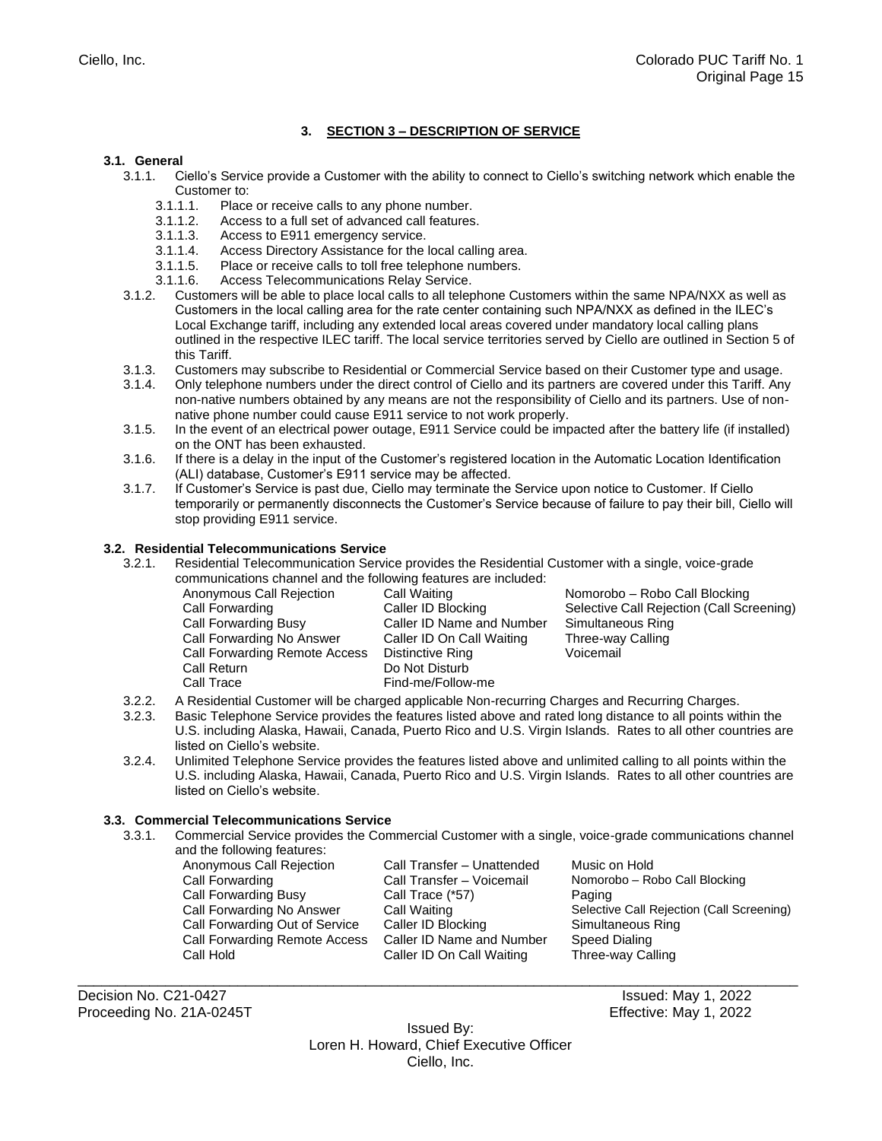# **3. SECTION 3 – DESCRIPTION OF SERVICE**

#### **3.1. General**

- 3.1.1. Ciello's Service provide a Customer with the ability to connect to Ciello's switching network which enable the Customer to:
	- 3.1.1.1. Place or receive calls to any phone number.
	- 3.1.1.2. Access to a full set of advanced call features.
	- 3.1.1.3. Access to E911 emergency service.
	- 3.1.1.4. Access Directory Assistance for the local calling area.
	- 3.1.1.5. Place or receive calls to toll free telephone numbers.
	- 3.1.1.6. Access Telecommunications Relay Service.
- 3.1.2. Customers will be able to place local calls to all telephone Customers within the same NPA/NXX as well as Customers in the local calling area for the rate center containing such NPA/NXX as defined in the ILEC's Local Exchange tariff, including any extended local areas covered under mandatory local calling plans outlined in the respective ILEC tariff. The local service territories served by Ciello are outlined in Section 5 of this Tariff.
- 3.1.3. Customers may subscribe to Residential or Commercial Service based on their Customer type and usage.
- 3.1.4. Only telephone numbers under the direct control of Ciello and its partners are covered under this Tariff. Any non-native numbers obtained by any means are not the responsibility of Ciello and its partners. Use of nonnative phone number could cause E911 service to not work properly.
- 3.1.5. In the event of an electrical power outage, E911 Service could be impacted after the battery life (if installed) on the ONT has been exhausted.
- 3.1.6. If there is a delay in the input of the Customer's registered location in the Automatic Location Identification (ALI) database, Customer's E911 service may be affected.
- 3.1.7. If Customer's Service is past due, Ciello may terminate the Service upon notice to Customer. If Ciello temporarily or permanently disconnects the Customer's Service because of failure to pay their bill, Ciello will stop providing E911 service.

#### **3.2. Residential Telecommunications Service**

3.2.1. Residential Telecommunication Service provides the Residential Customer with a single, voice-grade communications channel and the following features are included:

| Anonymous Call Rejection      | Call Waiting              | Nomorobo - Robo Call Blocking             |
|-------------------------------|---------------------------|-------------------------------------------|
| Call Forwarding               | Caller ID Blocking        | Selective Call Rejection (Call Screening) |
| <b>Call Forwarding Busy</b>   | Caller ID Name and Number | Simultaneous Ring                         |
| Call Forwarding No Answer     | Caller ID On Call Waiting | Three-way Calling                         |
| Call Forwarding Remote Access | Distinctive Ring          | Voicemail                                 |
| Call Return                   | Do Not Disturb            |                                           |
| Call Trace                    | Find-me/Follow-me         |                                           |

- 3.2.2. A Residential Customer will be charged applicable Non-recurring Charges and Recurring Charges.
- 3.2.3. Basic Telephone Service provides the features listed above and rated long distance to all points within the U.S. including Alaska, Hawaii, Canada, Puerto Rico and U.S. Virgin Islands. Rates to all other countries are listed on Ciello's website.
- 3.2.4. Unlimited Telephone Service provides the features listed above and unlimited calling to all points within the U.S. including Alaska, Hawaii, Canada, Puerto Rico and U.S. Virgin Islands. Rates to all other countries are listed on Ciello's website.

#### **3.3. Commercial Telecommunications Service**

- 3.3.1. Commercial Service provides the Commercial Customer with a single, voice-grade communications channel
	- and the following features:<br>Anonymous Call Rejection Call Forwarding Call Transfer – Voicemail Momorobo – Robo Call Blocking<br>Call Forwarding Busy Call Trace (\*57) Paging Call Forwarding Busy Call Trace (\*57) Paging<br>
	Call Forwarding No Answer Call Waiting Call Forwarding No Answer Call Forwarding Out of Service Caller ID Blocking Call Forwarding Remote Access Caller ID Name and Number Speed Dialing Call Hold Caller ID On Call Waiting Three-way Calling

Call Transfer – Unattended Music on Hold<br>Call Transfer – Voicemail Momorobo – Ro

Call Waiting **No Answer Call Rejection (Call Screening)**<br>Caller ID Blocking **Selection Screening** Simultaneous Ring

\_\_\_\_\_\_\_\_\_\_\_\_\_\_\_\_\_\_\_\_\_\_\_\_\_\_\_\_\_\_\_\_\_\_\_\_\_\_\_\_\_\_\_\_\_\_\_\_\_\_\_\_\_\_\_\_\_\_\_\_\_\_\_\_\_\_\_\_\_\_\_\_\_\_\_\_\_\_\_\_\_\_\_\_\_\_\_\_\_\_ Decision No. C21-0427 Issued: May 1, 2022 Proceeding No. 21A-0245T Effective: May 1, 2022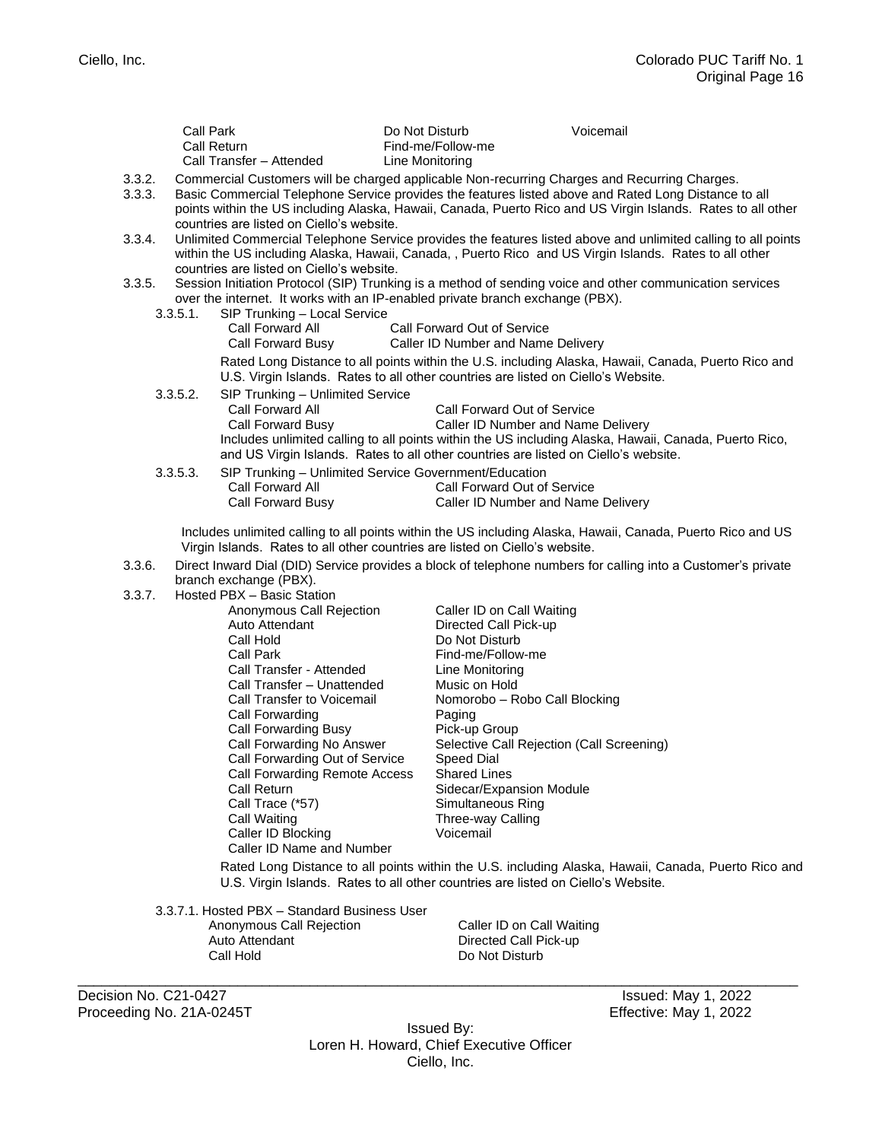|                  | Call Park<br>Call Return |                                                                                                          | Do Not Disturb<br>Find-me/Follow-me |                                                                   | Voicemail                                                                                                                                                                                                                                                                                                            |
|------------------|--------------------------|----------------------------------------------------------------------------------------------------------|-------------------------------------|-------------------------------------------------------------------|----------------------------------------------------------------------------------------------------------------------------------------------------------------------------------------------------------------------------------------------------------------------------------------------------------------------|
|                  |                          | Call Transfer - Attended                                                                                 | Line Monitoring                     |                                                                   |                                                                                                                                                                                                                                                                                                                      |
| 3.3.2.<br>3.3.3. |                          | countries are listed on Ciello's website.                                                                |                                     |                                                                   | Commercial Customers will be charged applicable Non-recurring Charges and Recurring Charges.<br>Basic Commercial Telephone Service provides the features listed above and Rated Long Distance to all<br>points within the US including Alaska, Hawaii, Canada, Puerto Rico and US Virgin Islands. Rates to all other |
| 3.3.4.           |                          | countries are listed on Ciello's website.                                                                |                                     |                                                                   | Unlimited Commercial Telephone Service provides the features listed above and unlimited calling to all points<br>within the US including Alaska, Hawaii, Canada, , Puerto Rico and US Virgin Islands. Rates to all other                                                                                             |
| 3.3.5.           |                          | over the internet. It works with an IP-enabled private branch exchange (PBX).                            |                                     |                                                                   | Session Initiation Protocol (SIP) Trunking is a method of sending voice and other communication services                                                                                                                                                                                                             |
|                  | $3.3.5.1$ .              | SIP Trunking - Local Service<br>Call Forward All<br>Call Forward Busy                                    |                                     | Call Forward Out of Service<br>Caller ID Number and Name Delivery |                                                                                                                                                                                                                                                                                                                      |
|                  |                          | U.S. Virgin Islands. Rates to all other countries are listed on Ciello's Website.                        |                                     |                                                                   | Rated Long Distance to all points within the U.S. including Alaska, Hawaii, Canada, Puerto Rico and                                                                                                                                                                                                                  |
|                  | 3.3.5.2.                 | SIP Trunking - Unlimited Service<br>Call Forward All                                                     |                                     | Call Forward Out of Service                                       |                                                                                                                                                                                                                                                                                                                      |
|                  |                          | Call Forward Busy<br>and US Virgin Islands. Rates to all other countries are listed on Ciello's website. |                                     | Caller ID Number and Name Delivery                                | Includes unlimited calling to all points within the US including Alaska, Hawaii, Canada, Puerto Rico,                                                                                                                                                                                                                |
|                  | 3.3.5.3.                 | SIP Trunking - Unlimited Service Government/Education<br>Call Forward All<br>Call Forward Busy           |                                     | Call Forward Out of Service<br>Caller ID Number and Name Delivery |                                                                                                                                                                                                                                                                                                                      |
|                  |                          | Virgin Islands. Rates to all other countries are listed on Ciello's website.                             |                                     |                                                                   | Includes unlimited calling to all points within the US including Alaska, Hawaii, Canada, Puerto Rico and US                                                                                                                                                                                                          |
| 3.3.6.<br>3.3.7. |                          | branch exchange (PBX).<br>Hosted PBX - Basic Station                                                     |                                     |                                                                   | Direct Inward Dial (DID) Service provides a block of telephone numbers for calling into a Customer's private                                                                                                                                                                                                         |
|                  |                          | Anonymous Call Rejection<br>Auto Attendant                                                               |                                     | Caller ID on Call Waiting<br>Directed Call Pick-up                |                                                                                                                                                                                                                                                                                                                      |
|                  |                          | Call Hold                                                                                                |                                     | Do Not Disturb                                                    |                                                                                                                                                                                                                                                                                                                      |
|                  |                          | Call Park                                                                                                |                                     | Find-me/Follow-me                                                 |                                                                                                                                                                                                                                                                                                                      |
|                  |                          | Call Transfer - Attended                                                                                 |                                     | Line Monitoring                                                   |                                                                                                                                                                                                                                                                                                                      |
|                  |                          | Call Transfer - Unattended                                                                               |                                     | Music on Hold                                                     |                                                                                                                                                                                                                                                                                                                      |
|                  |                          | Call Transfer to Voicemail                                                                               |                                     | Nomorobo - Robo Call Blocking                                     |                                                                                                                                                                                                                                                                                                                      |
|                  |                          | Call Forwarding                                                                                          |                                     | Paging                                                            |                                                                                                                                                                                                                                                                                                                      |
|                  |                          | Call Forwarding Busy<br>Call Forwarding No Answer                                                        |                                     | Pick-up Group                                                     | Selective Call Rejection (Call Screening)                                                                                                                                                                                                                                                                            |
|                  |                          | Call Forwarding Out of Service                                                                           |                                     | Speed Dial                                                        |                                                                                                                                                                                                                                                                                                                      |
|                  |                          | Call Forwarding Remote Access                                                                            |                                     | <b>Shared Lines</b>                                               |                                                                                                                                                                                                                                                                                                                      |
|                  |                          | Call Return                                                                                              |                                     | Sidecar/Expansion Module                                          |                                                                                                                                                                                                                                                                                                                      |
|                  |                          | Call Trace (*57)                                                                                         |                                     | Simultaneous Ring                                                 |                                                                                                                                                                                                                                                                                                                      |
|                  |                          | Call Waiting                                                                                             |                                     | Three-way Calling                                                 |                                                                                                                                                                                                                                                                                                                      |
|                  |                          | Caller ID Blocking<br>Caller ID Name and Number                                                          |                                     | Voicemail                                                         |                                                                                                                                                                                                                                                                                                                      |
|                  |                          | U.S. Virgin Islands. Rates to all other countries are listed on Ciello's Website.                        |                                     |                                                                   | Rated Long Distance to all points within the U.S. including Alaska, Hawaii, Canada, Puerto Rico and                                                                                                                                                                                                                  |
|                  |                          | 3.3.7.1. Hosted PBX - Standard Business User                                                             |                                     |                                                                   |                                                                                                                                                                                                                                                                                                                      |
|                  |                          | Anonymous Call Rejection<br>Auto Attendant                                                               |                                     | Caller ID on Call Waiting<br>Directed Call Pick-up                |                                                                                                                                                                                                                                                                                                                      |

\_\_\_\_\_\_\_\_\_\_\_\_\_\_\_\_\_\_\_\_\_\_\_\_\_\_\_\_\_\_\_\_\_\_\_\_\_\_\_\_\_\_\_\_\_\_\_\_\_\_\_\_\_\_\_\_\_\_\_\_\_\_\_\_\_\_\_\_\_\_\_\_\_\_\_\_\_\_\_\_\_\_\_\_\_\_\_\_\_\_ Decision No. C21-0427 Issued: May 1, 2022 Proceeding No. 21A-0245T Effective: May 1, 2022

Issued By: Loren H. Howard, Chief Executive Officer Ciello, Inc.

Call Hold **Do Not Disturb**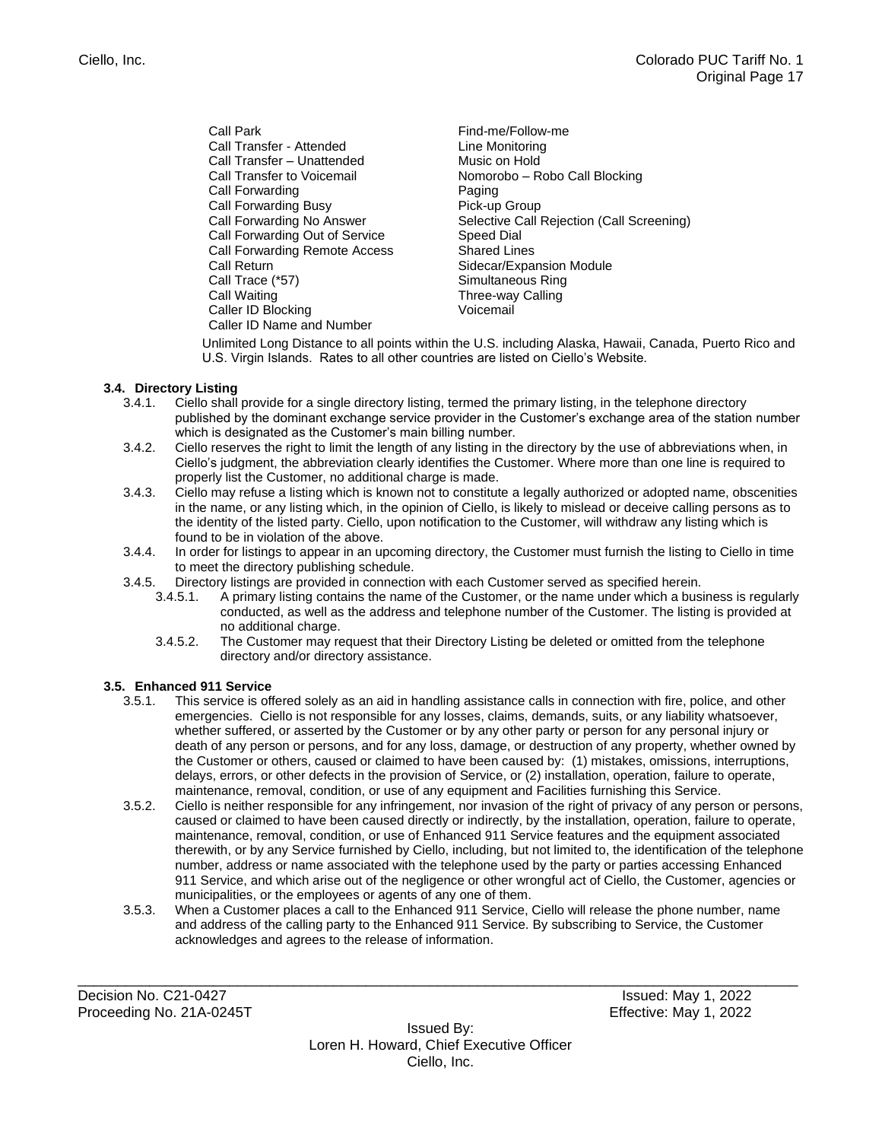- Call Park **Find-me/Follow-me** Call Transfer - Attended Line Monitoring Call Transfer – Unattended Music on Hold Call Forwarding **Paging** Paging Call Forwarding Busy<br>
Call Forwarding No Answer Selective Call I Call Forwarding Out of Service Speed Dial Call Forwarding Remote Access Shared Lines Call Return **Call Return Sidecar/Expansion Module**<br>
Call Trace (\*57) **Simultaneous Ring** Call Waiting Calling<br>Caller ID Blocking Calling<br>Caller ID Blocking Calling Caller ID Blocking Caller ID Name and Number
- Call Transfer to Voicemail Nomorobo Robo Call Blocking Selective Call Rejection (Call Screening) Simultaneous Ring

Unlimited Long Distance to all points within the U.S. including Alaska, Hawaii, Canada, Puerto Rico and U.S. Virgin Islands. Rates to all other countries are listed on Ciello's Website.

# **3.4. Directory Listing**

- 3.4.1. Ciello shall provide for a single directory listing, termed the primary listing, in the telephone directory published by the dominant exchange service provider in the Customer's exchange area of the station number which is designated as the Customer's main billing number.
- 3.4.2. Ciello reserves the right to limit the length of any listing in the directory by the use of abbreviations when, in Ciello's judgment, the abbreviation clearly identifies the Customer. Where more than one line is required to properly list the Customer, no additional charge is made.
- 3.4.3. Ciello may refuse a listing which is known not to constitute a legally authorized or adopted name, obscenities in the name, or any listing which, in the opinion of Ciello, is likely to mislead or deceive calling persons as to the identity of the listed party. Ciello, upon notification to the Customer, will withdraw any listing which is found to be in violation of the above.
- 3.4.4. In order for listings to appear in an upcoming directory, the Customer must furnish the listing to Ciello in time to meet the directory publishing schedule.
- 3.4.5. Directory listings are provided in connection with each Customer served as specified herein.
	- 3.4.5.1. A primary listing contains the name of the Customer, or the name under which a business is regularly conducted, as well as the address and telephone number of the Customer. The listing is provided at no additional charge.
	- 3.4.5.2. The Customer may request that their Directory Listing be deleted or omitted from the telephone directory and/or directory assistance.

## **3.5. Enhanced 911 Service**

- 3.5.1. This service is offered solely as an aid in handling assistance calls in connection with fire, police, and other emergencies. Ciello is not responsible for any losses, claims, demands, suits, or any liability whatsoever, whether suffered, or asserted by the Customer or by any other party or person for any personal injury or death of any person or persons, and for any loss, damage, or destruction of any property, whether owned by the Customer or others, caused or claimed to have been caused by: (1) mistakes, omissions, interruptions, delays, errors, or other defects in the provision of Service, or (2) installation, operation, failure to operate, maintenance, removal, condition, or use of any equipment and Facilities furnishing this Service.
- 3.5.2. Ciello is neither responsible for any infringement, nor invasion of the right of privacy of any person or persons, caused or claimed to have been caused directly or indirectly, by the installation, operation, failure to operate, maintenance, removal, condition, or use of Enhanced 911 Service features and the equipment associated therewith, or by any Service furnished by Ciello, including, but not limited to, the identification of the telephone number, address or name associated with the telephone used by the party or parties accessing Enhanced 911 Service, and which arise out of the negligence or other wrongful act of Ciello, the Customer, agencies or municipalities, or the employees or agents of any one of them.
- 3.5.3. When a Customer places a call to the Enhanced 911 Service, Ciello will release the phone number, name and address of the calling party to the Enhanced 911 Service. By subscribing to Service, the Customer acknowledges and agrees to the release of information.

\_\_\_\_\_\_\_\_\_\_\_\_\_\_\_\_\_\_\_\_\_\_\_\_\_\_\_\_\_\_\_\_\_\_\_\_\_\_\_\_\_\_\_\_\_\_\_\_\_\_\_\_\_\_\_\_\_\_\_\_\_\_\_\_\_\_\_\_\_\_\_\_\_\_\_\_\_\_\_\_\_\_\_\_\_\_\_\_\_\_ Decision No. C21-0427 Issued: May 1, 2022 Proceeding No. 21A-0245T Effective: May 1, 2022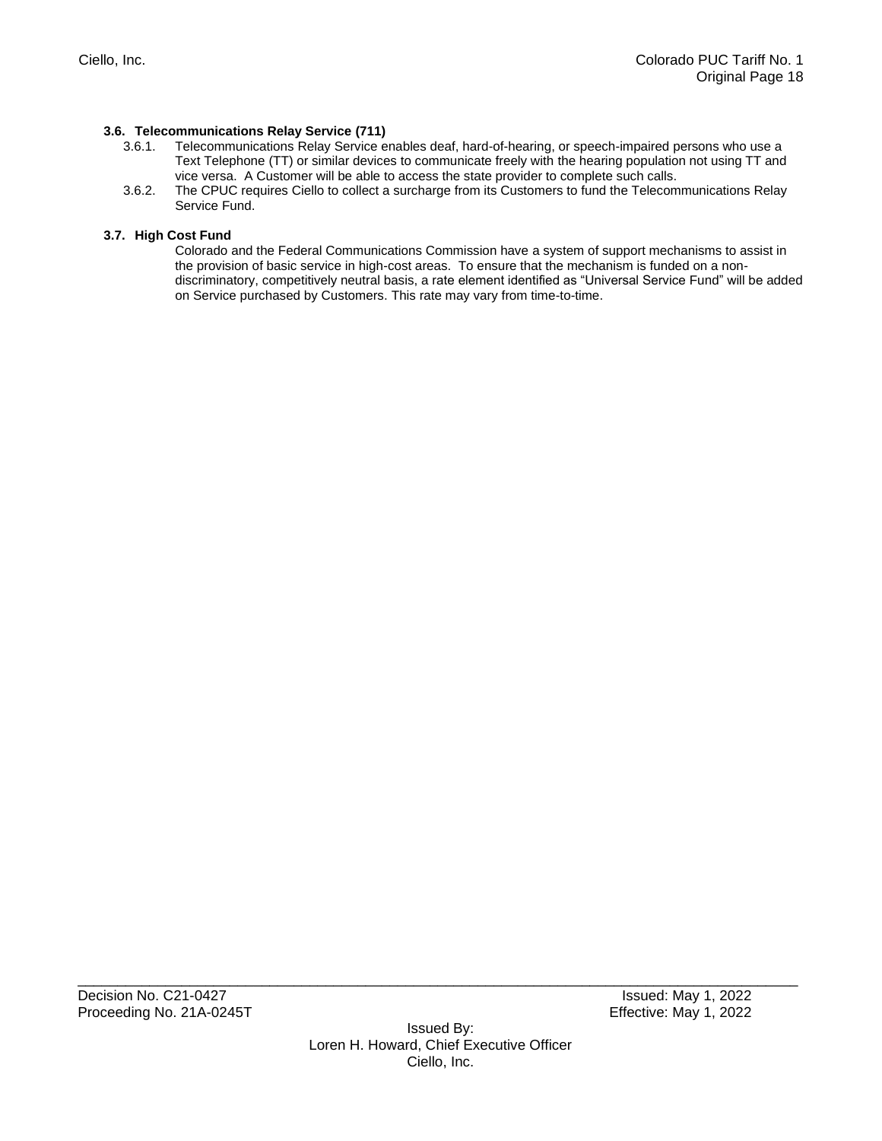## **3.6. Telecommunications Relay Service (711)**

- 3.6.1. Telecommunications Relay Service enables deaf, hard-of-hearing, or speech-impaired persons who use a Text Telephone (TT) or similar devices to communicate freely with the hearing population not using TT and vice versa. A Customer will be able to access the state provider to complete such calls.
- 3.6.2. The CPUC requires Ciello to collect a surcharge from its Customers to fund the Telecommunications Relay Service Fund.

## **3.7. High Cost Fund**

Colorado and the Federal Communications Commission have a system of support mechanisms to assist in the provision of basic service in high-cost areas. To ensure that the mechanism is funded on a nondiscriminatory, competitively neutral basis, a rate element identified as "Universal Service Fund" will be added on Service purchased by Customers. This rate may vary from time-to-time.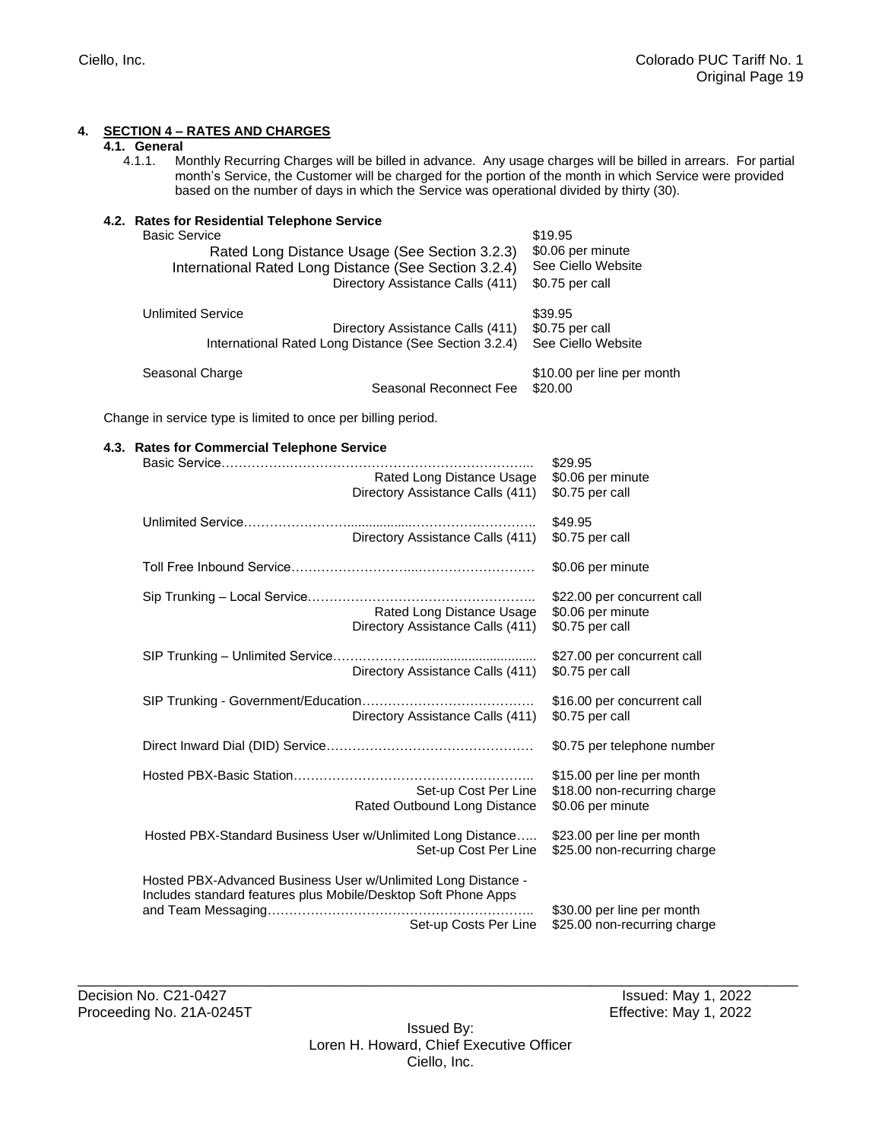## **4. SECTION 4 – RATES AND CHARGES**

# **4.1. General**

4.1.1. Monthly Recurring Charges will be billed in advance. Any usage charges will be billed in arrears. For partial month's Service, the Customer will be charged for the portion of the month in which Service were provided based on the number of days in which the Service was operational divided by thirty (30).

| 4.2. Rates for Residential Telephone Service<br><b>Basic Service</b> | Rated Long Distance Usage (See Section 3.2.3)<br>International Rated Long Distance (See Section 3.2.4)<br>Directory Assistance Calls (411) | \$19.95<br>\$0.06 per minute<br>See Ciello Website<br>\$0.75 per call |
|----------------------------------------------------------------------|--------------------------------------------------------------------------------------------------------------------------------------------|-----------------------------------------------------------------------|
| <b>Unlimited Service</b>                                             | Directory Assistance Calls (411)<br>International Rated Long Distance (See Section 3.2.4)                                                  | \$39.95<br>\$0.75 per call<br>See Ciello Website                      |
| Seasonal Charge                                                      | Seasonal Reconnect Fee                                                                                                                     | \$10.00 per line per month<br>\$20.00                                 |

Change in service type is limited to once per billing period.

#### **4.3. Rates for Commercial Telephone Service**

|                                                                                                                                 | Rated Long Distance Usage<br>Directory Assistance Calls (411) | \$29.95<br>\$0.06 per minute<br>\$0.75 per call                                 |
|---------------------------------------------------------------------------------------------------------------------------------|---------------------------------------------------------------|---------------------------------------------------------------------------------|
|                                                                                                                                 | Directory Assistance Calls (411)                              | \$49.95<br>\$0.75 per call                                                      |
|                                                                                                                                 |                                                               | \$0.06 per minute                                                               |
|                                                                                                                                 | Rated Long Distance Usage<br>Directory Assistance Calls (411) | \$22.00 per concurrent call<br>\$0.06 per minute<br>\$0.75 per call             |
|                                                                                                                                 | Directory Assistance Calls (411)                              | \$27.00 per concurrent call<br>\$0.75 per call                                  |
|                                                                                                                                 | Directory Assistance Calls (411)                              | \$16.00 per concurrent call<br>\$0.75 per call                                  |
|                                                                                                                                 |                                                               | \$0.75 per telephone number                                                     |
|                                                                                                                                 | Set-up Cost Per Line<br>Rated Outbound Long Distance          | \$15.00 per line per month<br>\$18.00 non-recurring charge<br>\$0.06 per minute |
| Hosted PBX-Standard Business User w/Unlimited Long Distance                                                                     | Set-up Cost Per Line                                          | \$23.00 per line per month<br>\$25.00 non-recurring charge                      |
| Hosted PBX-Advanced Business User w/Unlimited Long Distance -<br>Includes standard features plus Mobile/Desktop Soft Phone Apps |                                                               | \$30.00 per line per month                                                      |
|                                                                                                                                 | Set-up Costs Per Line                                         | \$25.00 non-recurring charge                                                    |

\_\_\_\_\_\_\_\_\_\_\_\_\_\_\_\_\_\_\_\_\_\_\_\_\_\_\_\_\_\_\_\_\_\_\_\_\_\_\_\_\_\_\_\_\_\_\_\_\_\_\_\_\_\_\_\_\_\_\_\_\_\_\_\_\_\_\_\_\_\_\_\_\_\_\_\_\_\_\_\_\_\_\_\_\_\_\_\_\_\_ Decision No. C21-0427 **Issued: May 1, 2022** Proceeding No. 21A-0245T **Effective:** May 1, 2022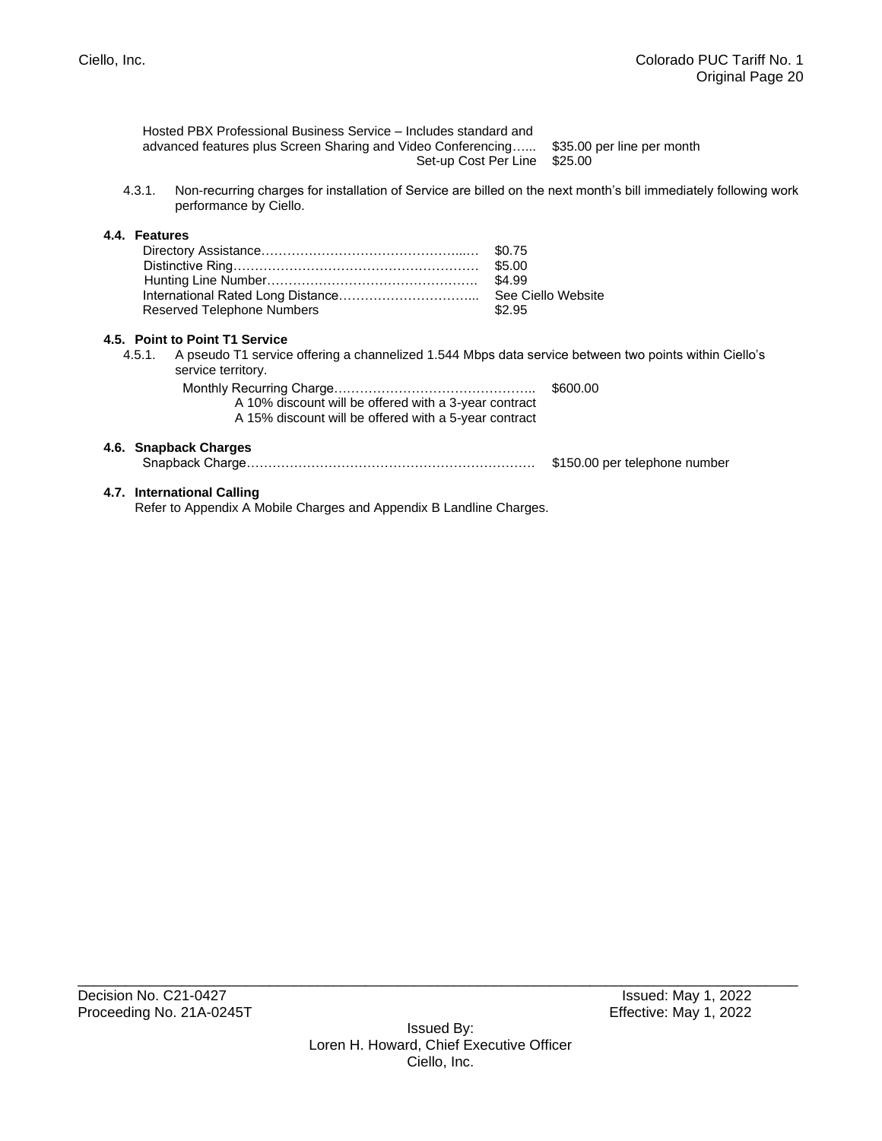|               | Hosted PBX Professional Business Service – Includes standard and<br>advanced features plus Screen Sharing and Video Conferencing<br>Set-up Cost Per Line |                                      | \$35.00 per line per month<br>\$25.00 |
|---------------|----------------------------------------------------------------------------------------------------------------------------------------------------------|--------------------------------------|---------------------------------------|
| 4.3.1.        | Non-recurring charges for installation of Service are billed on the next month's bill immediately following work<br>performance by Ciello.               |                                      |                                       |
| 4.4. Features | Reserved Telephone Numbers<br>4.5. Point to Point T1 Service                                                                                             | \$0.75<br>\$5.00<br>\$4.99<br>\$2.95 |                                       |
| 4.5.1.        | A pseudo T1 service offering a channelized 1.544 Mbps data service between two points within Ciello's<br>service territory.                              |                                      |                                       |
|               | A 10% discount will be offered with a 3-year contract<br>A 15% discount will be offered with a 5-year contract                                           |                                      | \$600.00                              |
|               | 4.6. Snapback Charges                                                                                                                                    |                                      | \$150.00 per telephone number         |
|               | 4.7. International Calling<br>Refer to Appendix A Mobile Charges and Appendix B Landline Charges.                                                        |                                      |                                       |